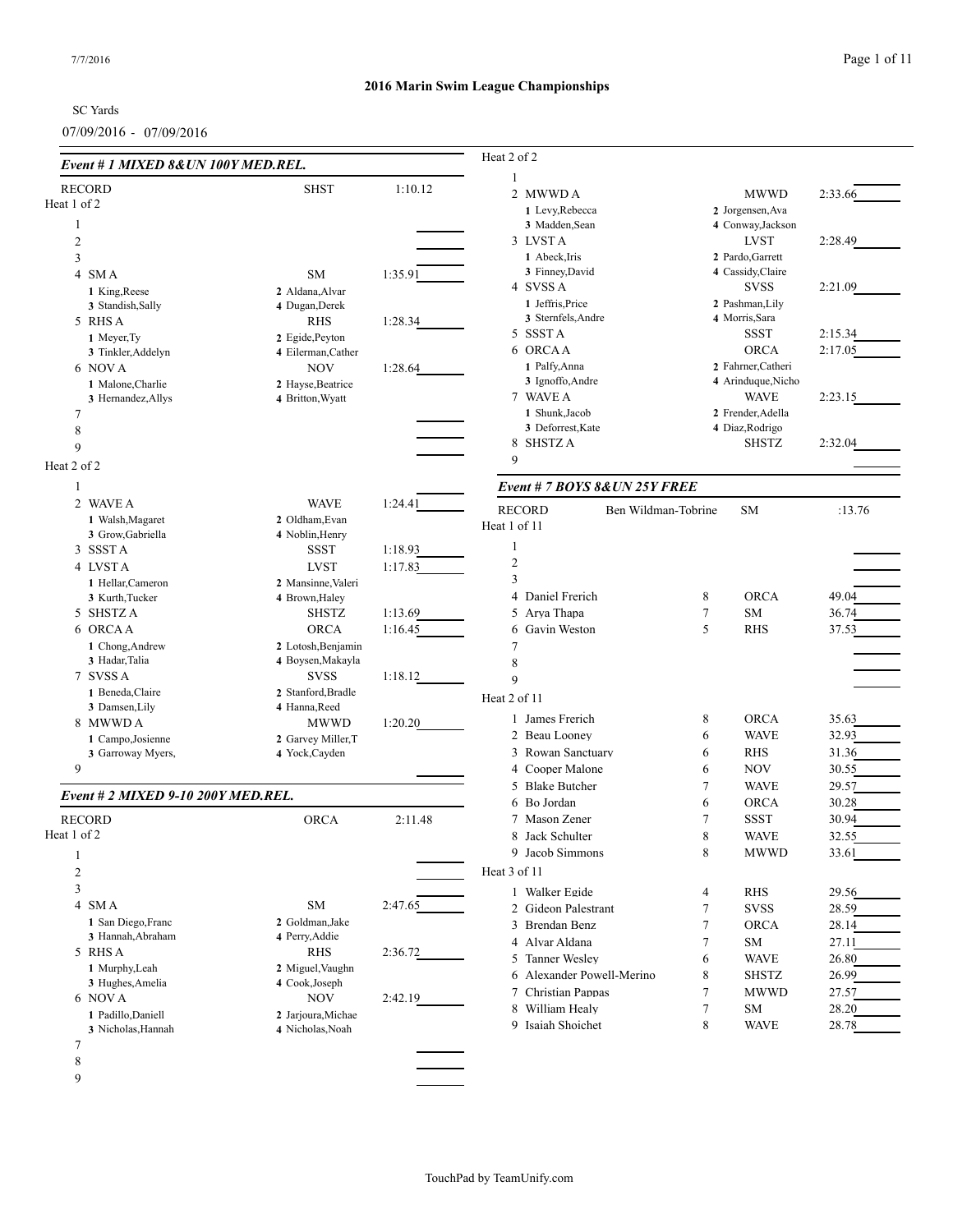# **2016 Marin Swim League Championships**

SC Yards

07/09/2016 - 07/09/2016

| Event # 1 MIXED 8& UN 100Y MED.REL. |                    |         | Heat 2 of 2                          |   |                    |         |
|-------------------------------------|--------------------|---------|--------------------------------------|---|--------------------|---------|
| <b>RECORD</b>                       | <b>SHST</b>        | 1:10.12 | 2 MWWD A                             |   | <b>MWWD</b>        | 2:33.66 |
| Heat 1 of 2                         |                    |         | 1 Levy, Rebecca                      |   | 2 Jorgensen, Ava   |         |
| 1                                   |                    |         | 3 Madden, Sean                       |   | 4 Conway, Jackson  |         |
| $\mathfrak{2}$                      |                    |         | 3 LVST A                             |   | <b>LVST</b>        | 2:28.49 |
| 3                                   |                    |         | 1 Abeck, Iris                        |   | 2 Pardo, Garrett   |         |
| 4 SMA                               | <b>SM</b>          | 1:35.91 | 3 Finney, David                      |   | 4 Cassidy, Claire  |         |
| 1 King, Reese                       | 2 Aldana, Alvar    |         | 4 SVSS A                             |   | <b>SVSS</b>        | 2:21.09 |
| 3 Standish, Sally                   | 4 Dugan, Derek     |         | 1 Jeffris, Price                     |   | 2 Pashman, Lily    |         |
| 5 RHS A                             | <b>RHS</b>         | 1:28.34 | 3 Sternfels, Andre                   |   | 4 Morris, Sara     |         |
| 1 Meyer, Ty                         | 2 Egide, Peyton    |         | 5 SSSTA                              |   | <b>SSST</b>        | 2:15.34 |
| 3 Tinkler, Addelyn                  | 4 Eilerman, Cather |         | 6 ORCAA                              |   | <b>ORCA</b>        | 2:17.05 |
| 6 NOVA                              | <b>NOV</b>         | 1:28.64 | 1 Palfy, Anna                        |   | 2 Fahrner, Catheri |         |
| 1 Malone, Charlie                   | 2 Hayse, Beatrice  |         | 3 Ignoffo, Andre                     |   | 4 Arinduque, Nicho |         |
| 3 Hernandez, Allys                  | 4 Britton, Wyatt   |         | 7 WAVE A                             |   | <b>WAVE</b>        | 2:23.15 |
| 7                                   |                    |         | 1 Shunk, Jacob                       |   | 2 Frender, Adella  |         |
| $\,8\,$                             |                    |         | 3 Deforrest, Kate                    |   | 4 Diaz, Rodrigo    |         |
| 9                                   |                    |         | 8 SHSTZ A                            |   | <b>SHSTZ</b>       | 2:32.04 |
|                                     |                    |         | 9                                    |   |                    |         |
| Heat 2 of 2                         |                    |         |                                      |   |                    |         |
| -1                                  |                    |         | Event # 7 BOYS 8& UN 25Y FREE        |   |                    |         |
| 2 WAVE A                            | <b>WAVE</b>        | 1:24.41 | <b>RECORD</b><br>Ben Wildman-Tobrine |   | <b>SM</b>          | :13.76  |
| 1 Walsh, Magaret                    | 2 Oldham, Evan     |         | Heat 1 of 11                         |   |                    |         |
| 3 Grow, Gabriella                   | 4 Noblin, Henry    |         |                                      |   |                    |         |
| 3 SSSTA                             | <b>SSST</b>        | 1:18.93 | 1                                    |   |                    |         |
| 4 LVSTA                             | <b>LVST</b>        | 1:17.83 | $\overline{2}$                       |   |                    |         |
| 1 Hellar.Cameron                    | 2 Mansinne, Valeri |         | 3                                    |   |                    |         |
| 3 Kurth, Tucker                     | 4 Brown, Haley     |         | 4 Daniel Frerich                     | 8 | <b>ORCA</b>        | 49.04   |
| 5 SHSTZ A                           | <b>SHSTZ</b>       | 1:13.69 | 5 Arya Thapa                         | 7 | <b>SM</b>          | 36.74   |
| 6 ORCAA                             | <b>ORCA</b>        | 1:16.45 | 6 Gavin Weston                       | 5 | <b>RHS</b>         | 37.53   |
| 1 Chong, Andrew                     | 2 Lotosh, Benjamin |         | 7                                    |   |                    |         |
| 3 Hadar, Talia                      | 4 Boysen, Makayla  |         | 8                                    |   |                    |         |
| 7 SVSS A                            | <b>SVSS</b>        | 1:18.12 | 9                                    |   |                    |         |
| 1 Beneda, Claire                    | 2 Stanford, Bradle |         |                                      |   |                    |         |
| 3 Damsen, Lily                      | 4 Hanna, Reed      |         | Heat 2 of 11                         |   |                    |         |
| 8 MWWD A                            | <b>MWWD</b>        | 1:20.20 | 1 James Frerich                      | 8 | <b>ORCA</b>        | 35.63   |
| 1 Campo, Josienne                   | 2 Garvey Miller, T |         | 2 Beau Looney                        | 6 | <b>WAVE</b>        | 32.93   |
| 3 Garroway Myers,                   | 4 Yock, Cayden     |         | 3 Rowan Sanctuary                    | 6 | <b>RHS</b>         | 31.36   |
| 9                                   |                    |         | 4 Cooper Malone                      | 6 | <b>NOV</b>         | 30.55   |
|                                     |                    |         | 5 Blake Butcher                      | 7 | <b>WAVE</b>        | 29.57   |
| Event # 2 MIXED 9-10 200Y MED.REL.  |                    |         | 6 Bo Jordan                          | 6 | <b>ORCA</b>        | 30.28   |
| <b>RECORD</b>                       | <b>ORCA</b>        | 2:11.48 | 7 Mason Zener                        | 7 | <b>SSST</b>        | 30.94   |
|                                     |                    |         |                                      |   |                    |         |
| Heat 1 of 2                         |                    |         | 8 Jack Schulter                      | 8 | <b>WAVE</b>        | 32.55   |
| 1                                   |                    |         | 9 Jacob Simmons                      | 8 | <b>MWWD</b>        | 33.61   |
| $\mathfrak{2}$                      |                    |         | Heat 3 of 11                         |   |                    |         |
| 3                                   |                    |         | 1 Walker Egide                       | 4 | <b>RHS</b>         | 29.56   |
| 4 SMA                               | SM                 | 2:47.65 | 2 Gideon Palestrant                  | 7 | <b>SVSS</b>        | 28.59   |
| 1 San Diego, Franc                  | 2 Goldman, Jake    |         | 3 Brendan Benz                       | 7 | <b>ORCA</b>        | 28.14   |
| 3 Hannah, Abraham                   | 4 Perry, Addie     |         | 4 Alvar Aldana                       | 7 | SM                 | 27.11   |
| 5 RHS A                             | RHS                | 2:36.72 |                                      |   |                    |         |
| 1 Murphy, Leah                      | 2 Miguel, Vaughn   |         | 5 Tanner Wesley                      | 6 | <b>WAVE</b>        | 26.80   |
| 3 Hughes, Amelia                    | 4 Cook, Joseph     |         | 6 Alexander Powell-Merino            | 8 | <b>SHSTZ</b>       | 26.99   |
| 6 NOV A                             | <b>NOV</b>         | 2:42.19 | 7 Christian Pappas                   | 7 | <b>MWWD</b>        | 27.57   |
| 1 Padillo, Daniell                  | 2 Jarjoura, Michae |         | 8 William Healy                      | 7 | <b>SM</b>          | 28.20   |
| 3 Nicholas, Hannah                  | 4 Nicholas, Noah   |         | 9 Isaiah Shoichet                    | 8 | <b>WAVE</b>        | 28.78   |
| 7                                   |                    |         |                                      |   |                    |         |
| 8                                   |                    |         |                                      |   |                    |         |
|                                     |                    |         |                                      |   |                    |         |
| 9                                   |                    |         |                                      |   |                    |         |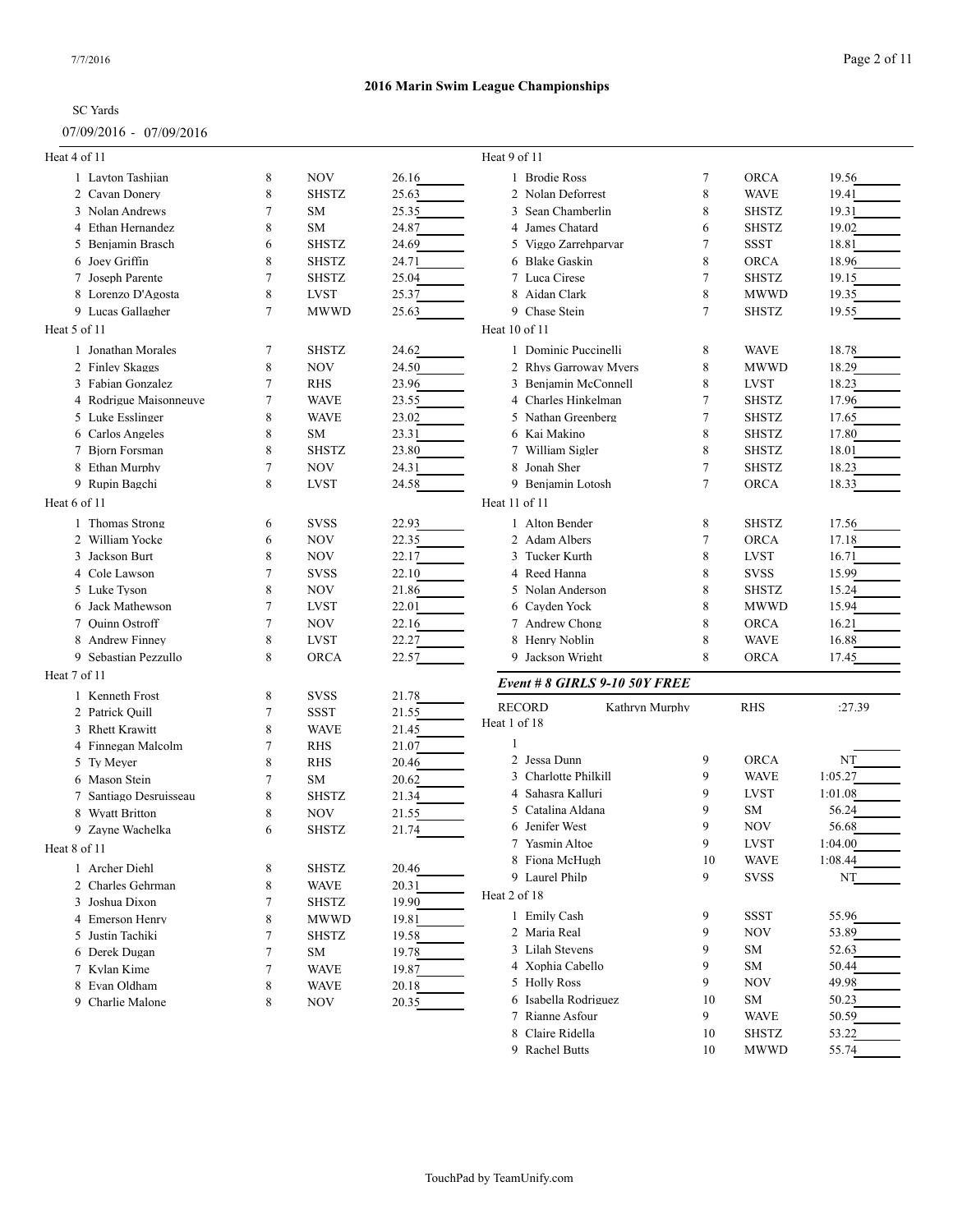# 07/09/2016 - 07/09/2016

# **2016 Marin Swim League Championships**

| Heat 4 of 11                      |        |              |       | Heat 9 of 11                    |                |              |         |
|-----------------------------------|--------|--------------|-------|---------------------------------|----------------|--------------|---------|
| 1 Layton Tashiian                 | 8      | <b>NOV</b>   | 26.16 | 1 Brodie Ross                   | 7              | <b>ORCA</b>  | 19.56   |
| 2 Cavan Donery                    | 8      | <b>SHSTZ</b> | 25.63 | 2 Nolan Deforrest               | 8              | <b>WAVE</b>  | 19.41   |
| 3 Nolan Andrews                   | 7      | <b>SM</b>    | 25.35 | 3 Sean Chamberlin               | 8              | <b>SHSTZ</b> | 19.31   |
| 4 Ethan Hernandez                 | 8      | <b>SM</b>    | 24.87 | 4 James Chatard                 | 6              | <b>SHSTZ</b> | 19.02   |
| 5 Benjamin Brasch                 | 6      | <b>SHSTZ</b> | 24.69 | 5 Viggo Zarrehparvar            | $\overline{7}$ | <b>SSST</b>  | 18.81   |
| 6 Joey Griffin                    | 8      | <b>SHSTZ</b> | 24.71 | 6 Blake Gaskin                  | 8              | <b>ORCA</b>  | 18.96   |
| 7 Joseph Parente                  | 7      | <b>SHSTZ</b> | 25.04 | 7 Luca Cirese                   | $\overline{7}$ | <b>SHSTZ</b> | 19.15   |
| 8 Lorenzo D'Agosta                | 8      | <b>LVST</b>  | 25.37 | 8 Aidan Clark                   | 8              | <b>MWWD</b>  | 19.35   |
| 9 Lucas Gallagher                 | 7      | <b>MWWD</b>  | 25.63 | 9 Chase Stein                   | $\overline{7}$ | <b>SHSTZ</b> | 19.55   |
| Heat 5 of 11                      |        |              |       | Heat 10 of 11                   |                |              |         |
| 1 Jonathan Morales                | 7      | <b>SHSTZ</b> | 24.62 | 1 Dominic Puccinelli            | 8              | <b>WAVE</b>  | 18.78   |
| 2 Finley Skaggs                   | 8      | <b>NOV</b>   | 24.50 | 2 Rhys Garroway Myers           | 8              | <b>MWWD</b>  | 18.29   |
| 3 Fabian Gonzalez                 | 7      | <b>RHS</b>   | 23.96 | 3 Benjamin McConnell            | 8              | <b>LVST</b>  | 18.23   |
| 4 Rodrigue Maisonneuve            | 7      | <b>WAVE</b>  | 23.55 | 4 Charles Hinkelman             | $\overline{7}$ | <b>SHSTZ</b> | 17.96   |
| 5 Luke Esslinger                  | 8      | <b>WAVE</b>  | 23.02 | 5 Nathan Greenberg              | $\overline{7}$ | <b>SHSTZ</b> | 17.65   |
| 6 Carlos Angeles                  | 8      | <b>SM</b>    | 23.31 | 6 Kai Makino                    | 8              | <b>SHSTZ</b> | 17.80   |
| 7 Bjorn Forsman                   | 8      | <b>SHSTZ</b> | 23.80 | 7 William Sigler                | 8              | <b>SHSTZ</b> | 18.01   |
| 8 Ethan Murphy                    | 7      | <b>NOV</b>   | 24.31 | 8 Jonah Sher                    | $\overline{7}$ | <b>SHSTZ</b> | 18.23   |
| 9 Rupin Bagchi                    | 8      | <b>LVST</b>  | 24.58 | 9 Benjamin Lotosh               | $\overline{7}$ | <b>ORCA</b>  | 18.33   |
| Heat 6 of 11                      |        |              |       | Heat 11 of 11                   |                |              |         |
| 1 Thomas Strong                   | 6      | <b>SVSS</b>  | 22.93 | 1 Alton Bender                  | 8              | <b>SHSTZ</b> | 17.56   |
| 2 William Yocke                   | 6      | <b>NOV</b>   | 22.35 | 2 Adam Albers                   | $\overline{7}$ | <b>ORCA</b>  | 17.18   |
| 3 Jackson Burt                    | 8      | <b>NOV</b>   | 22.17 | 3 Tucker Kurth                  | 8              | <b>LVST</b>  | 16.71   |
| 4 Cole Lawson                     | 7      | <b>SVSS</b>  | 22.10 | 4 Reed Hanna                    | 8              | <b>SVSS</b>  | 15.99   |
| 5 Luke Tyson                      | 8      | <b>NOV</b>   | 21.86 | 5 Nolan Anderson                | 8              | <b>SHSTZ</b> | 15.24   |
| Jack Mathewson<br>6               | $\tau$ | <b>LVST</b>  | 22.01 | 6 Cayden Yock                   | 8              | <b>MWWD</b>  | 15.94   |
| 7 Ouinn Ostroff                   | 7      | <b>NOV</b>   | 22.16 | 7 Andrew Chong                  | 8              | <b>ORCA</b>  | 16.21   |
| 8 Andrew Finney                   | 8      | <b>LVST</b>  | 22.27 | 8 Henry Noblin                  | 8              | <b>WAVE</b>  | 16.88   |
| 9 Sebastian Pezzullo              | 8      | <b>ORCA</b>  | 22.57 | 9 Jackson Wright                | 8              | <b>ORCA</b>  | 17.45   |
| Heat 7 of 11                      |        |              |       | Event # 8 GIRLS 9-10 50Y FREE   |                |              |         |
| 1 Kenneth Frost                   | 8      | <b>SVSS</b>  | 21.78 |                                 |                |              |         |
| 2 Patrick Quill                   | 7      | SSST         | 21.55 | <b>RECORD</b><br>Kathryn Murphy |                | <b>RHS</b>   | :27.39  |
| 3 Rhett Krawitt                   | 8      | <b>WAVE</b>  | 21.45 | Heat 1 of 18                    |                |              |         |
| 4 Finnegan Malcolm                | 7      | <b>RHS</b>   | 21.07 |                                 |                |              |         |
| 5 Ty Meyer                        | 8      | <b>RHS</b>   | 20.46 | 2 Jessa Dunn                    | 9              | <b>ORCA</b>  | NT      |
| 6 Mason Stein                     | 7      | <b>SM</b>    | 20.62 | 3 Charlotte Philkill            | 9              | <b>WAVE</b>  | 1:05.27 |
| 7 Santiago Desruisseau            | 8      | <b>SHSTZ</b> | 21.34 | 4 Sahasra Kalluri               | 9              | <b>LVST</b>  | 1:01.08 |
| <b>Wyatt Britton</b><br>8         | 8      | <b>NOV</b>   | 21.55 | 5 Catalina Aldana               | 9              | SM           | 56.24   |
| 9 Zayne Wachelka                  | 6      | <b>SHSTZ</b> | 21.74 | 6 Jenifer West                  | 9              | <b>NOV</b>   | 56.68   |
| Heat 8 of 11                      |        |              |       | 7 Yasmin Altoe                  | 9              | LVST         | 1:04.00 |
| 1 Archer Diehl                    | 8      | <b>SHSTZ</b> | 20.46 | 8 Fiona McHugh                  | 10             | <b>WAVE</b>  | 1:08.44 |
| 2 Charles Gehrman                 | 8      | <b>WAVE</b>  | 20.31 | 9 Laurel Philp                  | 9              | <b>SVSS</b>  | NT      |
| 3 Joshua Dixon                    | 7      | <b>SHSTZ</b> | 19.90 | Heat 2 of 18                    |                |              |         |
| 4 Emerson Henry                   |        | <b>MWWD</b>  |       | 1 Emily Cash                    | 9              | SSST         | 55.96   |
| 5 Justin Tachiki                  | 8<br>7 | <b>SHSTZ</b> | 19.81 | 2 Maria Real                    | 9              | <b>NOV</b>   | 53.89   |
|                                   |        |              | 19.58 | 3 Lilah Stevens                 | 9              | SM           | 52.63   |
| 6 Derek Dugan                     | 7      | SM           | 19.78 | 4 Xophia Cabello                | 9              | SM           | 50.44   |
| 7 Kylan Kime                      | 7      | <b>WAVE</b>  | 19.87 | 5 Holly Ross                    | 9              | <b>NOV</b>   | 49.98   |
| 8 Evan Oldham<br>9 Charlie Malone | 8<br>8 | <b>WAVE</b>  | 20.18 | 6 Isabella Rodriguez            | 10             | SM           | 50.23   |
|                                   |        | NOV          | 20.35 | 7 Rianne Asfour                 | 9              | <b>WAVE</b>  | 50.59   |
|                                   |        |              |       | 8 Claire Ridella                | 10             | SHSTZ        | 53.22   |
|                                   |        |              |       |                                 |                |              |         |

9 Rachel Butts 10 MWWD 55.74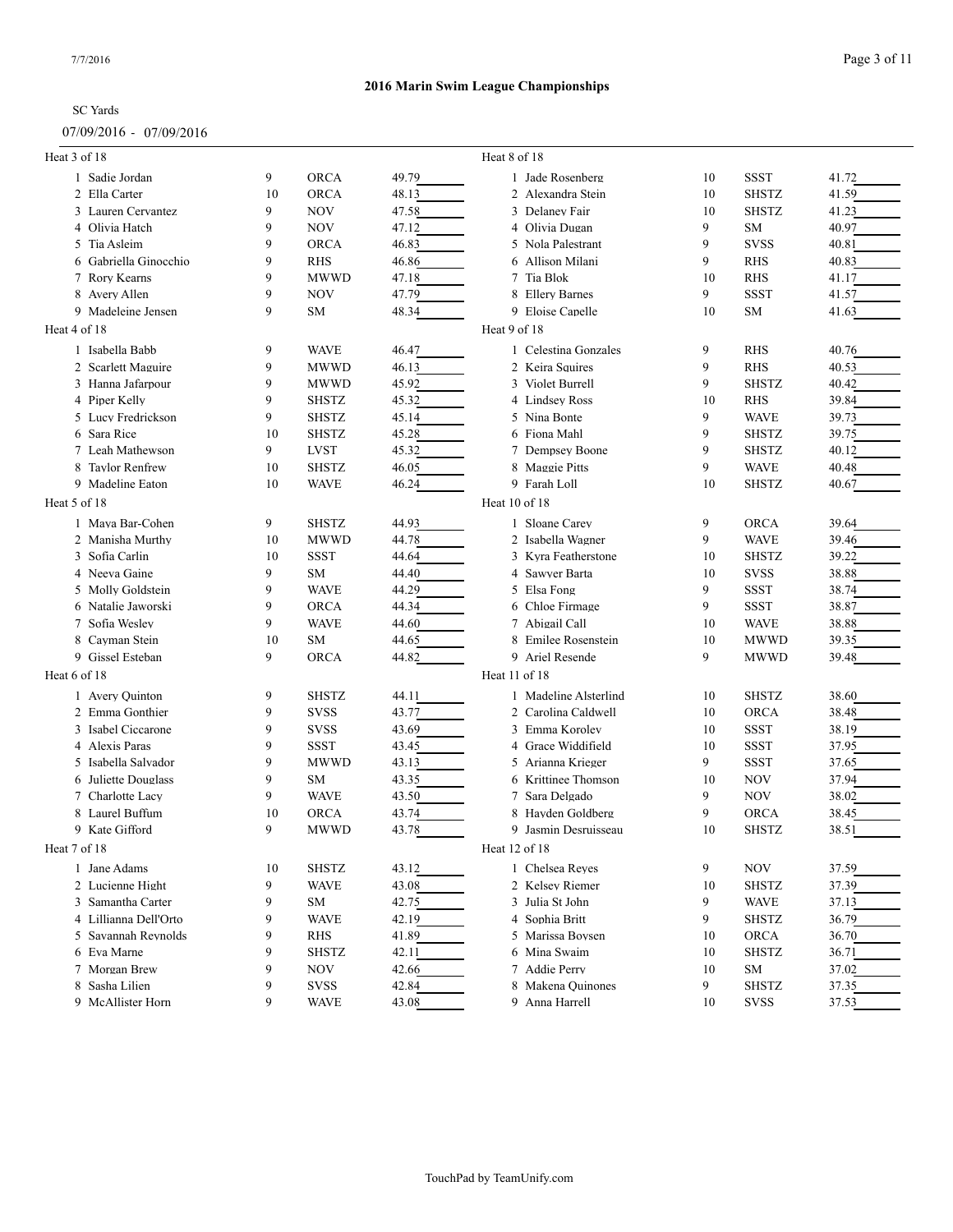### 07/09/2016 - 07/09/2016

| Heat 3 of 18          |    |              |       | Heat 8 of 18          |    |              |       |
|-----------------------|----|--------------|-------|-----------------------|----|--------------|-------|
| 1 Sadie Jordan        | 9  | <b>ORCA</b>  | 49.79 | 1 Jade Rosenberg      | 10 | <b>SSST</b>  | 41.72 |
| 2 Ella Carter         | 10 | <b>ORCA</b>  | 48.13 | 2 Alexandra Stein     | 10 | <b>SHSTZ</b> | 41.59 |
| 3 Lauren Cervantez    | 9  | <b>NOV</b>   | 47.58 | 3 Delaney Fair        | 10 | <b>SHSTZ</b> | 41.23 |
| 4 Olivia Hatch        | 9  | <b>NOV</b>   | 47.12 | 4 Olivia Dugan        | 9  | SM           | 40.97 |
| 5 Tia Asleim          | 9  | <b>ORCA</b>  | 46.83 | 5 Nola Palestrant     | 9  | <b>SVSS</b>  | 40.81 |
| 6 Gabriella Ginocchio | 9  | <b>RHS</b>   | 46.86 | 6 Allison Milani      | 9  | RHS          | 40.83 |
| 7 Rory Kearns         | 9  | <b>MWWD</b>  | 47.18 | 7 Tia Blok            | 10 | <b>RHS</b>   | 41.17 |
| 8 Avery Allen         | 9  | NOV          | 47.79 | 8 Ellery Barnes       | 9  | <b>SSST</b>  | 41.57 |
| 9 Madeleine Jensen    | 9  | SM           | 48.34 | 9 Eloise Capelle      | 10 | SM           | 41.63 |
| Heat 4 of 18          |    |              |       | Heat 9 of 18          |    |              |       |
| 1 Isabella Babb       | 9  | <b>WAVE</b>  | 46.47 | 1 Celestina Gonzales  | 9  | <b>RHS</b>   | 40.76 |
| 2 Scarlett Maguire    | 9  | <b>MWWD</b>  | 46.13 | 2 Keira Squires       | 9  | <b>RHS</b>   | 40.53 |
| 3 Hanna Jafarpour     | 9  | <b>MWWD</b>  | 45.92 | 3 Violet Burrell      | 9  | <b>SHSTZ</b> | 40.42 |
| 4 Piper Kelly         | 9  | <b>SHSTZ</b> | 45.32 | 4 Lindsey Ross        | 10 | <b>RHS</b>   | 39.84 |
| 5 Lucy Fredrickson    | 9  | <b>SHSTZ</b> | 45.14 | 5 Nina Bonte          | 9  | <b>WAVE</b>  | 39.73 |
| 6 Sara Rice           | 10 | <b>SHSTZ</b> | 45.28 | 6 Fiona Mahl          | 9  | <b>SHSTZ</b> | 39.75 |
| 7 Leah Mathewson      | 9  | LVST         | 45.32 | 7 Dempsey Boone       | 9  | <b>SHSTZ</b> | 40.12 |
| 8 Taylor Renfrew      | 10 | <b>SHSTZ</b> | 46.05 | 8 Maggie Pitts        | 9  | <b>WAVE</b>  | 40.48 |
| 9 Madeline Eaton      | 10 | <b>WAVE</b>  | 46.24 | 9 Farah Loll          | 10 | <b>SHSTZ</b> | 40.67 |
| Heat 5 of 18          |    |              |       | Heat 10 of 18         |    |              |       |
| 1 Maya Bar-Cohen      | 9  | <b>SHSTZ</b> | 44.93 | 1 Sloane Carev        | 9  | <b>ORCA</b>  | 39.64 |
| 2 Manisha Murthy      | 10 | <b>MWWD</b>  | 44.78 | 2 Isabella Wagner     | 9  | <b>WAVE</b>  | 39.46 |
| 3 Sofia Carlin        | 10 | SSST         | 44.64 | 3 Kvra Featherstone   | 10 | <b>SHSTZ</b> | 39.22 |
| 4 Neeva Gaine         | 9  | SM           | 44.40 | 4 Sawyer Barta        | 10 | <b>SVSS</b>  | 38.88 |
| 5 Molly Goldstein     | 9  | <b>WAVE</b>  | 44.29 | 5 Elsa Fong           | 9  | <b>SSST</b>  | 38.74 |
| 6 Natalie Jaworski    | 9  | <b>ORCA</b>  | 44.34 | 6 Chloe Firmage       | 9  | SSST         | 38.87 |
| 7 Sofia Wesley        | 9  | <b>WAVE</b>  | 44.60 | 7 Abigail Call        | 10 | <b>WAVE</b>  | 38.88 |
| 8<br>Cayman Stein     | 10 | <b>SM</b>    | 44.65 | 8 Emilee Rosenstein   | 10 | <b>MWWD</b>  | 39.35 |
| 9 Gissel Esteban      | 9  | <b>ORCA</b>  | 44.82 | 9 Ariel Resende       | 9  | <b>MWWD</b>  | 39.48 |
| Heat 6 of 18          |    |              |       | Heat 11 of 18         |    |              |       |
| 1 Avery Quinton       | 9  | <b>SHSTZ</b> | 44.11 | 1 Madeline Alsterlind | 10 | <b>SHSTZ</b> | 38.60 |
| 2 Emma Gonthier       | 9  | <b>SVSS</b>  | 43.77 | 2 Carolina Caldwell   | 10 | <b>ORCA</b>  | 38.48 |
| 3 Isabel Ciccarone    | 9  | <b>SVSS</b>  | 43.69 | 3 Emma Korolev        | 10 | <b>SSST</b>  | 38.19 |
| 4 Alexis Paras        | 9  | <b>SSST</b>  | 43.45 | 4 Grace Widdifield    | 10 | SSST         | 37.95 |
| 5 Isabella Salvador   | 9  | <b>MWWD</b>  | 43.13 | 5 Arianna Krieger     | 9  | SSST         | 37.65 |
| 6 Juliette Douglass   | 9  | SM           | 43.35 | 6 Krittinee Thomson   | 10 | NOV          | 37.94 |
| 7 Charlotte Lacy      | 9  | <b>WAVE</b>  | 43.50 | 7 Sara Delgado        | 9  | NOV          | 38.02 |
| 8 Laurel Buffum       | 10 | <b>ORCA</b>  | 43.74 | 8 Hayden Goldberg     | 9  | <b>ORCA</b>  | 38.45 |
| 9 Kate Gifford        | 9  | <b>MWWD</b>  | 43.78 | 9 Jasmin Desruisseau  | 10 | <b>SHSTZ</b> | 38.51 |
| Heat 7 of 18          |    |              |       | Heat 12 of 18         |    |              |       |
| 1 Jane Adams          | 10 | <b>SHSTZ</b> | 43.12 | 1 Chelsea Reves       | 9  | NOV          | 37.59 |
| 2 Lucienne Hight      | 9  | <b>WAVE</b>  | 43.08 | 2 Kelsey Riemer       | 10 | <b>SHSTZ</b> | 37.39 |
| 3 Samantha Carter     | 9  | SM           | 42.75 | 3 Julia St John       | 9  | <b>WAVE</b>  | 37.13 |
| 4 Lillianna Dell'Orto | 9  | <b>WAVE</b>  | 42.19 | 4 Sophia Britt        | 9  | <b>SHSTZ</b> | 36.79 |
| 5 Savannah Reynolds   | 9  | RHS          | 41.89 | 5 Marissa Boysen      | 10 | ORCA         | 36.70 |
| 6 Eva Marne           | 9  | <b>SHSTZ</b> | 42.11 | 6 Mina Swaim          | 10 | SHSTZ        | 36.71 |
| 7 Morgan Brew         | 9  | <b>NOV</b>   | 42.66 | 7 Addie Perry         | 10 | SM           | 37.02 |
| 8 Sasha Lilien        | 9  | <b>SVSS</b>  | 42.84 | 8 Makena Ouinones     | 9  | <b>SHSTZ</b> | 37.35 |
| 9 McAllister Horn     | 9  | <b>WAVE</b>  | 43.08 | 9 Anna Harrell        | 10 | <b>SVSS</b>  | 37.53 |
|                       |    |              |       |                       |    |              |       |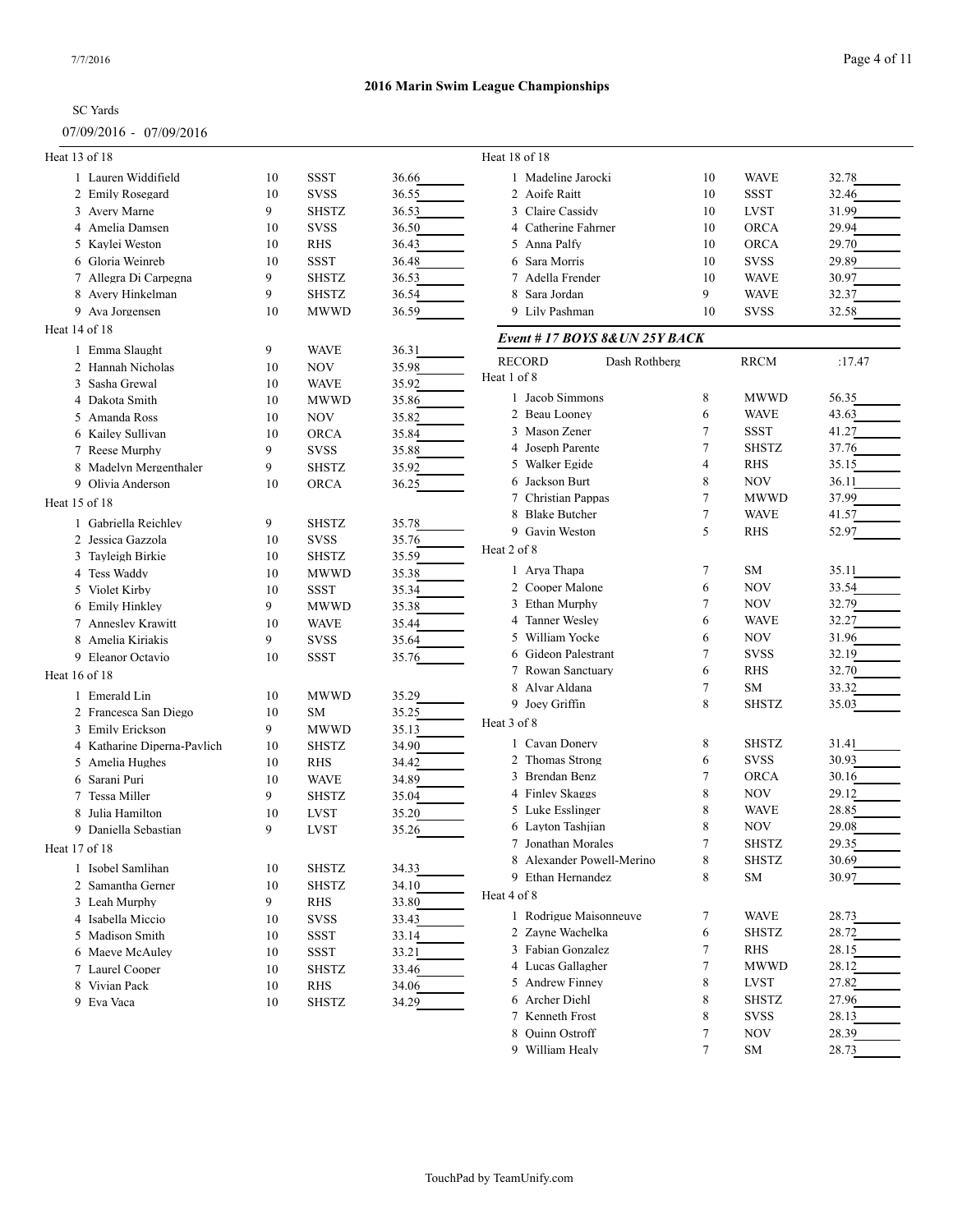### 07/09/2016 - 07/09/2016

| Heat 13 of 18               |    |              |       | Heat 18 of 18                  |        |                    |                |
|-----------------------------|----|--------------|-------|--------------------------------|--------|--------------------|----------------|
| 1 Lauren Widdifield         | 10 | <b>SSST</b>  | 36.66 | 1 Madeline Jarocki             | 10     | <b>WAVE</b>        | 32.78          |
| 2 Emily Rosegard            | 10 | <b>SVSS</b>  | 36.55 | 2 Aoife Raitt                  | 10     | <b>SSST</b>        | 32.46          |
| 3 Avery Marne               | 9  | <b>SHSTZ</b> | 36.53 | 3 Claire Cassidy               | 10     | <b>LVST</b>        | 31.99          |
| 4 Amelia Damsen             | 10 | <b>SVSS</b>  | 36.50 | 4 Catherine Fahrner            | 10     | <b>ORCA</b>        | 29.94          |
| 5 Kaylei Weston             | 10 | <b>RHS</b>   | 36.43 | 5 Anna Palfy                   | 10     | <b>ORCA</b>        | 29.70          |
| 6 Gloria Weinreb            | 10 | <b>SSST</b>  | 36.48 | 6 Sara Morris                  | 10     | <b>SVSS</b>        | 29.89          |
| 7 Allegra Di Carpegna       | 9  | <b>SHSTZ</b> | 36.53 | 7 Adella Frender               | 10     | <b>WAVE</b>        | 30.97          |
| 8 Avery Hinkelman           | 9  | <b>SHSTZ</b> | 36.54 | 8 Sara Jordan                  | 9      | <b>WAVE</b>        | 32.37          |
| 9 Ava Jorgensen             | 10 | <b>MWWD</b>  | 36.59 | 9 Lily Pashman                 | 10     | <b>SVSS</b>        | 32.58          |
| Heat 14 of 18               |    |              |       | Event #17 BOYS 8& UN 25Y BACK  |        |                    |                |
| 1 Emma Slaught              | 9  | <b>WAVE</b>  | 36.31 |                                |        |                    |                |
| 2 Hannah Nicholas           | 10 | <b>NOV</b>   | 35.98 | <b>RECORD</b><br>Dash Rothberg |        | <b>RRCM</b>        | :17.47         |
| 3 Sasha Grewal              | 10 | <b>WAVE</b>  | 35.92 | Heat 1 of 8                    |        |                    |                |
| 4 Dakota Smith              | 10 | <b>MWWD</b>  | 35.86 | 1 Jacob Simmons                | 8      | <b>MWWD</b>        | 56.35          |
| 5 Amanda Ross               | 10 | <b>NOV</b>   | 35.82 | 2 Beau Looney                  | 6      | <b>WAVE</b>        | 43.63          |
| 6 Kailey Sullivan           | 10 |              |       | 3 Mason Zener                  | 7      | <b>SSST</b>        | 41.27          |
|                             | 9  | ORCA         | 35.84 | Joseph Parente<br>4            | 7      | <b>SHSTZ</b>       | 37.76          |
| 7 Reese Murphy              |    | <b>SVSS</b>  | 35.88 | 5 Walker Egide                 | 4      | <b>RHS</b>         | 35.15          |
| 8 Madelyn Mergenthaler      | 9  | <b>SHSTZ</b> | 35.92 | 6 Jackson Burt                 | 8      | NOV                | 36.11          |
| 9 Olivia Anderson           | 10 | ORCA         | 36.25 | 7 Christian Pappas             | 7      | <b>MWWD</b>        | 37.99          |
| Heat 15 of 18               |    |              |       | 8 Blake Butcher                | $\tau$ | <b>WAVE</b>        | 41.57          |
| 1 Gabriella Reichley        | 9  | <b>SHSTZ</b> | 35.78 | 9 Gavin Weston                 | 5      | <b>RHS</b>         | 52.97          |
| 2 Jessica Gazzola           | 10 | <b>SVSS</b>  | 35.76 |                                |        |                    |                |
| 3 Tayleigh Birkie           | 10 | <b>SHSTZ</b> | 35.59 | Heat 2 of 8                    |        |                    |                |
| 4 Tess Waddy                | 10 | <b>MWWD</b>  | 35.38 | 1 Arya Thapa                   | 7      | <b>SM</b>          | 35.11          |
| 5 Violet Kirby              | 10 | <b>SSST</b>  | 35.34 | 2 Cooper Malone                | 6      | <b>NOV</b>         | 33.54          |
| 6 Emily Hinkley             | 9  | <b>MWWD</b>  | 35.38 | 3 Ethan Murphy                 | 7      | <b>NOV</b>         | 32.79          |
| 7 Annesley Krawitt          | 10 | <b>WAVE</b>  | 35.44 | 4 Tanner Wesley                | 6      | <b>WAVE</b>        | 32.27          |
| 8 Amelia Kiriakis           | 9  | <b>SVSS</b>  | 35.64 | 5 William Yocke                | 6      | <b>NOV</b>         | 31.96          |
| 9 Eleanor Octavio           | 10 | <b>SSST</b>  | 35.76 | 6 Gideon Palestrant            | 7      | <b>SVSS</b>        | 32.19          |
| Heat 16 of 18               |    |              |       | 7 Rowan Sanctuary              | 6      | RHS                | 32.70          |
|                             |    |              |       | 8 Alvar Aldana                 | 7      | <b>SM</b>          | 33.32          |
| 1 Emerald Lin               | 10 | <b>MWWD</b>  | 35.29 | 9 Joey Griffin                 | 8      | <b>SHSTZ</b>       | 35.03          |
| 2 Francesca San Diego       | 10 | SM           | 35.25 | Heat 3 of 8                    |        |                    |                |
| 3 Emily Erickson            | 9  | <b>MWWD</b>  | 35.13 | 1 Cavan Donery                 | 8      | <b>SHSTZ</b>       | 31.41          |
| 4 Katharine Diperna-Pavlich | 10 | <b>SHSTZ</b> | 34.90 | 2 Thomas Strong                | 6      | <b>SVSS</b>        |                |
| 5 Amelia Hughes             | 10 | <b>RHS</b>   | 34.42 |                                |        |                    | 30.93          |
| 6 Sarani Puri               | 10 | <b>WAVE</b>  | 34.89 | 3 Brendan Benz                 | 7<br>8 | <b>ORCA</b><br>NOV | 30.16<br>29.12 |
| 7 Tessa Miller              | 9  | <b>SHSTZ</b> | 35.04 | 4 Finley Skaggs                |        |                    |                |
| Julia Hamilton<br>8         | 10 | <b>LVST</b>  | 35.20 | 5 Luke Esslinger               | 8      | <b>WAVE</b>        | 28.85          |
| 9 Daniella Sebastian        | 9  | <b>LVST</b>  | 35.26 | 6 Layton Tashiian              | 8      | NOV                | 29.08          |
| Heat 17 of 18               |    |              |       | 7 Jonathan Morales             | 7      | <b>SHSTZ</b>       | 29.35          |
| 1 Isobel Samlihan           | 10 | <b>SHSTZ</b> | 34.33 | 8 Alexander Powell-Merino      | 8      | <b>SHSTZ</b>       | 30.69          |
| 2 Samantha Gerner           | 10 | <b>SHSTZ</b> | 34.10 | 9 Ethan Hernandez              | 8      | SM                 | 30.97          |
| 3 Leah Murphy               | 9  | RHS          | 33.80 | Heat 4 of 8                    |        |                    |                |
| 4 Isabella Miccio           | 10 | <b>SVSS</b>  | 33.43 | 1 Rodrigue Maisonneuve         | 7      | <b>WAVE</b>        | 28.73          |
| 5 Madison Smith             | 10 | SSST         | 33.14 | 2 Zayne Wachelka               | 6      | <b>SHSTZ</b>       | 28.72          |
| 6 Maeve McAuley             | 10 | SSST         | 33.21 | 3 Fabian Gonzalez              | 7      | RHS                | 28.15          |
| 7 Laurel Cooper             | 10 | <b>SHSTZ</b> | 33.46 | 4 Lucas Gallagher              | 7      | <b>MWWD</b>        | 28.12          |
| 8 Vivian Pack               | 10 | RHS          | 34.06 | 5 Andrew Finney                | 8      | <b>LVST</b>        | 27.82          |
| 9 Eva Vaca                  | 10 | <b>SHSTZ</b> | 34.29 | 6 Archer Diehl                 | 8      | <b>SHSTZ</b>       | 27.96          |
|                             |    |              |       | 7 Kenneth Frost                | 8      | <b>SVSS</b>        | 28.13          |
|                             |    |              |       | 8 Quinn Ostroff                | 7      | <b>NOV</b>         | 28.39          |
|                             |    |              |       | 9 William Healy                | 7      | SM                 | 28.73          |
|                             |    |              |       |                                |        |                    |                |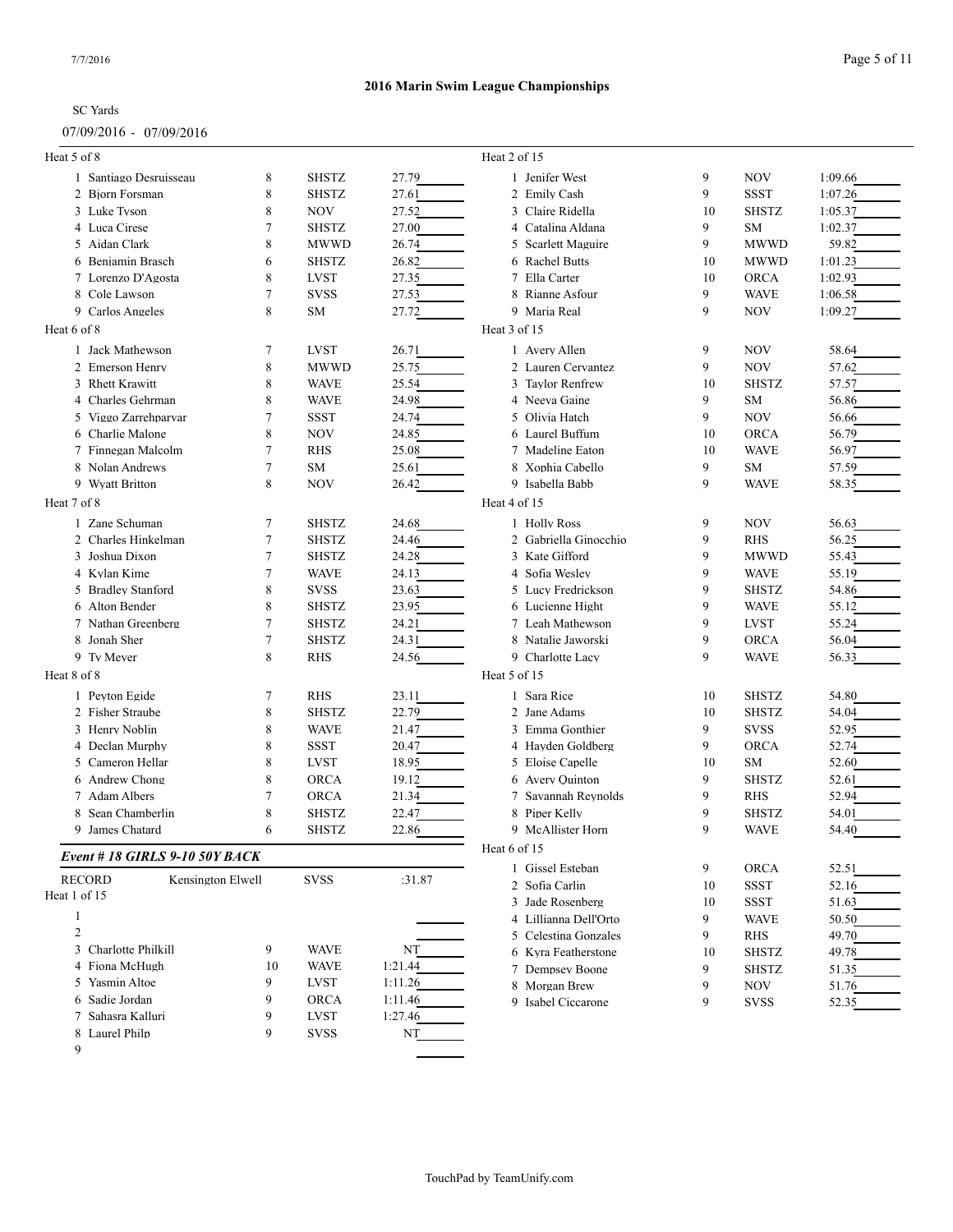### 07/09/2016 - 07/09/2016

| Heat 5 of 8    |                                     |        |                            |                    | Heat 2 of 15          |    |              |         |
|----------------|-------------------------------------|--------|----------------------------|--------------------|-----------------------|----|--------------|---------|
|                | 1 Santiago Desruisseau              | 8      | <b>SHSTZ</b>               | 27.79              | 1 Jenifer West        | 9  | <b>NOV</b>   | 1:09.66 |
|                | 2 Biorn Forsman                     | 8      | <b>SHSTZ</b>               | 27.61              | 2 Emily Cash          | 9  | <b>SSST</b>  | 1:07.26 |
|                | 3 Luke Tyson                        | 8      | <b>NOV</b>                 | 27.52              | 3 Claire Ridella      | 10 | <b>SHSTZ</b> | 1:05.37 |
|                | 4 Luca Cirese                       | 7      | <b>SHSTZ</b>               | 27.00              | 4 Catalina Aldana     | 9  | SM           | 1:02.37 |
|                | 5 Aidan Clark                       | 8      | <b>MWWD</b>                | 26.74              | 5 Scarlett Maguire    | 9  | <b>MWWD</b>  | 59.82   |
|                | 6 Benjamin Brasch                   | 6      | <b>SHSTZ</b>               | 26.82              | 6 Rachel Butts        | 10 | <b>MWWD</b>  | 1:01.23 |
|                | 7 Lorenzo D'Agosta                  | 8      | <b>LVST</b>                | 27.35              | 7 Ella Carter         | 10 | <b>ORCA</b>  | 1:02.93 |
|                | 8 Cole Lawson                       | 7      | <b>SVSS</b>                | 27.53              | 8 Rianne Asfour       | 9  | <b>WAVE</b>  | 1:06.58 |
|                | 9 Carlos Angeles                    | 8      | SM                         | 27.72              | 9 Maria Real          | 9  | <b>NOV</b>   | 1:09.27 |
| Heat 6 of 8    |                                     |        |                            |                    | Heat 3 of 15          |    |              |         |
|                | 1 Jack Mathewson                    | 7      | <b>LVST</b>                | 26.71              | 1 Avery Allen         | 9  | NOV          | 58.64   |
|                | 2 Emerson Henry                     | 8      | <b>MWWD</b>                | 25.75              | 2 Lauren Cervantez    | 9  | NOV          | 57.62   |
|                | 3 Rhett Krawitt                     | 8      | <b>WAVE</b>                | 25.54              | 3 Taylor Renfrew      | 10 | <b>SHSTZ</b> | 57.57   |
| 4              | Charles Gehrman                     | 8      | <b>WAVE</b>                | 24.98              | 4 Neeva Gaine         | 9  | SM           | 56.86   |
|                | 5 Viggo Zarrehparvar                | 7      | <b>SSST</b>                | 24.74              | 5 Olivia Hatch        | 9  | <b>NOV</b>   | 56.66   |
|                | 6 Charlie Malone                    | 8      | <b>NOV</b>                 | 24.85              | 6 Laurel Buffum       | 10 | <b>ORCA</b>  | 56.79   |
|                | 7 Finnegan Malcolm                  | 7      | <b>RHS</b>                 | 25.08              | 7 Madeline Eaton      | 10 | <b>WAVE</b>  | 56.97   |
|                | 8 Nolan Andrews                     | 7      | SM                         | 25.61              | 8 Xophia Cabello      | 9  | SM           | 57.59   |
|                | 9 Wyatt Britton                     | 8      | NOV                        | 26.42              | 9 Isabella Babb       | 9  | <b>WAVE</b>  | 58.35   |
| Heat 7 of 8    |                                     |        |                            |                    | Heat 4 of 15          |    |              |         |
|                | 1 Zane Schuman                      | 7      | <b>SHSTZ</b>               | 24.68              | 1 Holly Ross          | 9  | NOV          | 56.63   |
|                | 2 Charles Hinkelman                 | 7      | <b>SHSTZ</b>               | 24.46              | 2 Gabriella Ginocchio | 9  | <b>RHS</b>   | 56.25   |
|                | 3 Joshua Dixon                      | 7      | <b>SHSTZ</b>               | 24.28              | 3 Kate Gifford        | 9  | <b>MWWD</b>  | 55.43   |
|                | 4 Kylan Kime                        | 7      | <b>WAVE</b>                | 24.13              | 4 Sofia Wesley        | 9  | <b>WAVE</b>  | 55.19   |
|                | 5 Bradley Stanford                  | 8      | <b>SVSS</b>                | 23.63              | 5 Lucy Fredrickson    | 9  | <b>SHSTZ</b> | 54.86   |
|                | 6 Alton Bender                      | 8      | <b>SHSTZ</b>               | 23.95              | 6 Lucienne Hight      | 9  | <b>WAVE</b>  | 55.12   |
|                | 7 Nathan Greenberg                  | 7      | <b>SHSTZ</b>               | 24.21              | 7 Leah Mathewson      | 9  | <b>LVST</b>  | 55.24   |
|                | 8 Jonah Sher                        | 7      | <b>SHSTZ</b>               | 24.31              | 8 Natalie Jaworski    | 9  | <b>ORCA</b>  | 56.04   |
|                | 9 Ty Meyer                          | 8      | <b>RHS</b>                 | 24.56              | 9 Charlotte Lacy      | 9  | <b>WAVE</b>  | 56.33   |
| Heat 8 of 8    |                                     |        |                            |                    | Heat 5 of 15          |    |              |         |
|                | 1 Peyton Egide                      | 7      | <b>RHS</b>                 | 23.11              | 1 Sara Rice           | 10 | <b>SHSTZ</b> | 54.80   |
|                | 2 Fisher Straube                    | 8      | <b>SHSTZ</b>               | 22.79              | 2 Jane Adams          | 10 | <b>SHSTZ</b> | 54.04   |
|                | 3 Henry Noblin                      | 8      | <b>WAVE</b>                | 21.47              | 3 Emma Gonthier       | 9  | <b>SVSS</b>  | 52.95   |
|                | 4 Declan Murphy                     | 8      | SSST                       | 20.47              | 4 Hayden Goldberg     | 9  | <b>ORCA</b>  | 52.74   |
|                | 5 Cameron Hellar                    | 8      | LVST                       | 18.95              | 5 Eloise Capelle      | 10 | SM           | 52.60   |
|                | 6 Andrew Chong                      | 8      | <b>ORCA</b>                | 19.12              | 6 Avery Quinton       | 9  | <b>SHSTZ</b> | 52.61   |
|                | 7 Adam Albers                       | 7      | <b>ORCA</b>                | 21.34              | 7 Savannah Reynolds   | 9  | <b>RHS</b>   | 52.94   |
|                | Sean Chamberlin                     | 8      | <b>SHSTZ</b>               | 22.47              | 8 Piper Kelly         | 9  | <b>SHSTZ</b> | 54.01   |
|                | 9 James Chatard                     | 6      | <b>SHSTZ</b>               | 22.86              | 9 McAllister Horn     | 9  | <b>WAVE</b>  | 54.40   |
|                | Event #18 GIRLS 9-10 50Y BACK       |        |                            |                    | Heat 6 of 15          |    |              |         |
|                | <b>RECORD</b><br>Kensington Elwell  |        | <b>SVSS</b>                | :31.87             | 1 Gissel Esteban      | 9  | ORCA         | 52.51   |
| Heat 1 of 15   |                                     |        |                            |                    | 2 Sofia Carlin        | 10 | SSST         | 52.16   |
|                |                                     |        |                            |                    | 3 Jade Rosenberg      | 10 | SSST         | 51.63   |
| $\mathbf{1}$   |                                     |        |                            |                    | 4 Lillianna Dell'Orto | 9  | <b>WAVE</b>  | 50.50   |
| $\mathfrak{2}$ |                                     |        |                            |                    | 5 Celestina Gonzales  | 9  | RHS          | 49.70   |
|                | 3 Charlotte Philkill                | 9      | <b>WAVE</b>                | NT                 | 6 Kyra Featherstone   | 10 | <b>SHSTZ</b> | 49.78   |
|                | 4 Fiona McHugh                      | 10     | <b>WAVE</b>                | 1:21.44            | 7 Dempsey Boone       | 9  | <b>SHSTZ</b> | 51.35   |
|                | 5 Yasmin Altoe                      | 9      | LVST                       | 1:11.26            | 8 Morgan Brew         | 9  | <b>NOV</b>   | 51.76   |
|                | 6 Sadie Jordan<br>7 Sahasra Kalluri | 9<br>9 | <b>ORCA</b>                | 1:11.46<br>1:27.46 | 9 Isabel Ciccarone    | 9  | <b>SVSS</b>  | 52.35   |
|                | 8 Laurel Philp                      | 9      | <b>LVST</b><br><b>SVSS</b> | NT                 |                       |    |              |         |
|                |                                     |        |                            |                    |                       |    |              |         |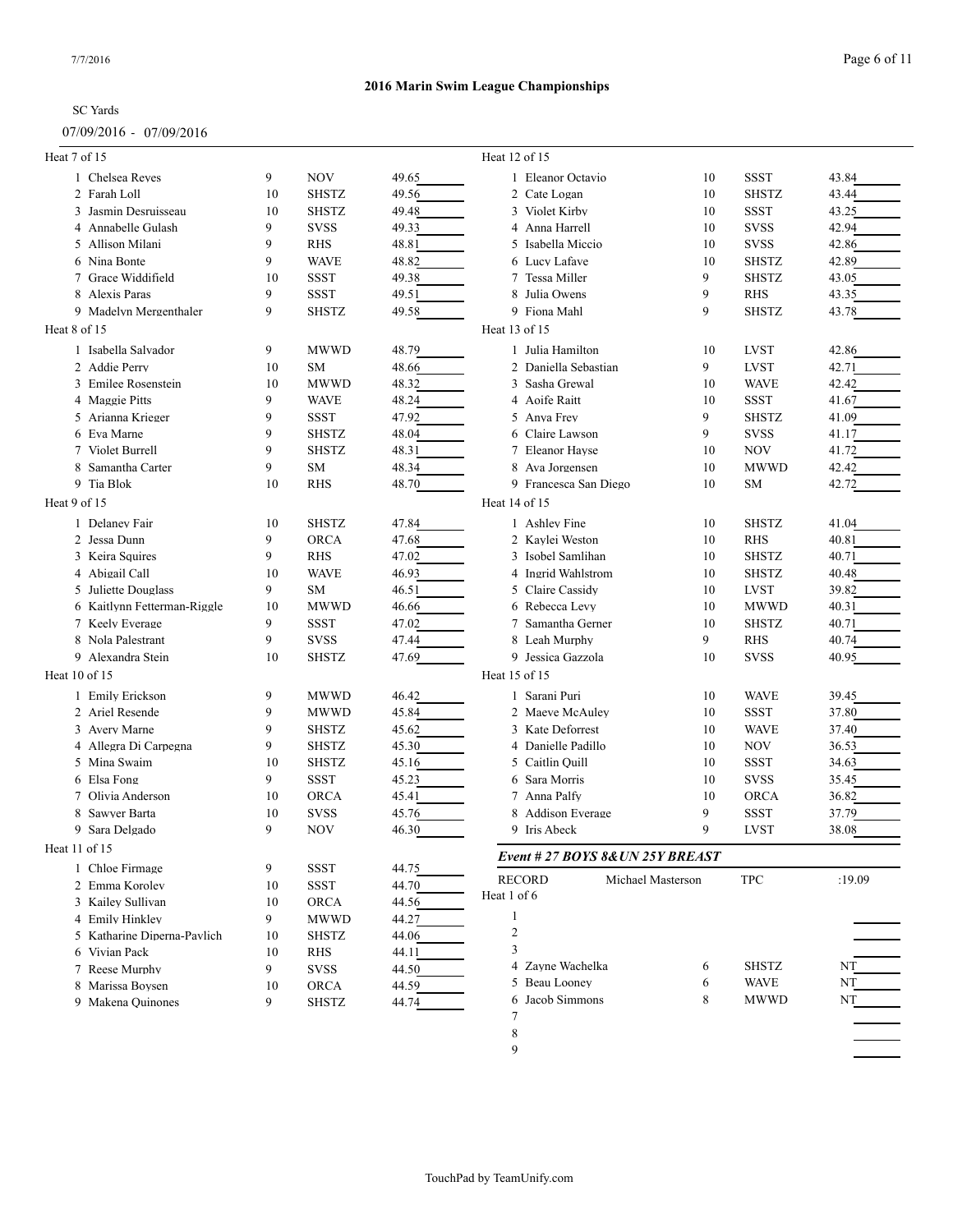### 07/09/2016 - 07/09/2016

| Heat 7 of 15                |    |              |       | Heat 12 of 15                      |    |              |        |
|-----------------------------|----|--------------|-------|------------------------------------|----|--------------|--------|
| 1 Chelsea Reves             | 9  | <b>NOV</b>   | 49.65 | 1 Eleanor Octavio                  | 10 | <b>SSST</b>  | 43.84  |
| 2 Farah Loll                | 10 | <b>SHSTZ</b> | 49.56 | 2 Cate Logan                       | 10 | <b>SHSTZ</b> | 43.44  |
| 3 Jasmin Desruisseau        | 10 | <b>SHSTZ</b> | 49.48 | 3 Violet Kirby                     | 10 | <b>SSST</b>  | 43.25  |
| 4 Annabelle Gulash          | 9  | <b>SVSS</b>  | 49.33 | 4 Anna Harrell                     | 10 | <b>SVSS</b>  | 42.94  |
| 5 Allison Milani            | 9  | RHS          | 48.81 | 5 Isabella Miccio                  | 10 | <b>SVSS</b>  | 42.86  |
| 6 Nina Bonte                | 9  | <b>WAVE</b>  | 48.82 | 6 Lucy Lafave                      | 10 | <b>SHSTZ</b> | 42.89  |
| 7 Grace Widdifield          | 10 | <b>SSST</b>  | 49.38 | 7 Tessa Miller                     | 9  | <b>SHSTZ</b> | 43.05  |
| 8 Alexis Paras              | 9  | <b>SSST</b>  | 49.51 | 8 Julia Owens                      | 9  | <b>RHS</b>   | 43.35  |
| 9 Madelyn Mergenthaler      | 9  | <b>SHSTZ</b> | 49.58 | 9 Fiona Mahl                       | 9  | <b>SHSTZ</b> | 43.78  |
| Heat 8 of 15                |    |              |       | Heat 13 of 15                      |    |              |        |
| 1 Isabella Salvador         | 9  | <b>MWWD</b>  | 48.79 | 1 Julia Hamilton                   | 10 | <b>LVST</b>  | 42.86  |
| 2 Addie Perry               | 10 | SM           | 48.66 | 2 Daniella Sebastian               | 9  | <b>LVST</b>  | 42.71  |
| 3 Emilee Rosenstein         | 10 | <b>MWWD</b>  | 48.32 | 3 Sasha Grewal                     | 10 | <b>WAVE</b>  | 42.42  |
| 4 Maggie Pitts              | 9  | <b>WAVE</b>  | 48.24 | 4 Aoife Raitt                      | 10 | <b>SSST</b>  | 41.67  |
| 5 Arianna Krieger           | 9  | SSST         | 47.92 | 5 Anya Frey                        | 9  | <b>SHSTZ</b> | 41.09  |
| 6 Eva Marne                 | 9  | <b>SHSTZ</b> | 48.04 | 6 Claire Lawson                    | 9  | <b>SVSS</b>  | 41.17  |
| 7 Violet Burrell            | 9  | <b>SHSTZ</b> | 48.31 | 7 Eleanor Hayse                    | 10 | <b>NOV</b>   | 41.72  |
| 8 Samantha Carter           | 9  | SM           | 48.34 | 8 Ava Jorgensen                    | 10 | <b>MWWD</b>  | 42.42  |
| 9 Tia Blok                  | 10 | <b>RHS</b>   | 48.70 | 9 Francesca San Diego              | 10 | <b>SM</b>    | 42.72  |
| Heat 9 of 15                |    |              |       | Heat 14 of 15                      |    |              |        |
|                             |    |              |       |                                    |    |              |        |
| 1 Delaney Fair              | 10 | <b>SHSTZ</b> | 47.84 | 1 Ashley Fine                      | 10 | <b>SHSTZ</b> | 41.04  |
| 2 Jessa Dunn                | 9  | ORCA         | 47.68 | 2 Kaylei Weston                    | 10 | <b>RHS</b>   | 40.81  |
| 3 Keira Squires             | 9  | <b>RHS</b>   | 47.02 | 3 Isobel Samlihan                  | 10 | <b>SHSTZ</b> | 40.71  |
| 4 Abigail Call              | 10 | <b>WAVE</b>  | 46.93 | 4 Ingrid Wahlstrom                 | 10 | <b>SHSTZ</b> | 40.48  |
| 5 Juliette Douglass         | 9  | SM           | 46.51 | 5 Claire Cassidy                   | 10 | <b>LVST</b>  | 39.82  |
| 6 Kaitlynn Fetterman-Riggle | 10 | <b>MWWD</b>  | 46.66 | 6 Rebecca Levy                     | 10 | <b>MWWD</b>  | 40.31  |
| 7 Keely Everage             | 9  | SSST         | 47.02 | 7 Samantha Gerner                  | 10 | <b>SHSTZ</b> | 40.71  |
| 8 Nola Palestrant           | 9  | <b>SVSS</b>  | 47.44 | 8 Leah Murphy                      | 9  | <b>RHS</b>   | 40.74  |
| 9 Alexandra Stein           | 10 | <b>SHSTZ</b> | 47.69 | 9 Jessica Gazzola                  | 10 | <b>SVSS</b>  | 40.95  |
| Heat 10 of 15               |    |              |       | Heat 15 of 15                      |    |              |        |
| 1 Emily Erickson            | 9  | <b>MWWD</b>  | 46.42 | 1 Sarani Puri                      | 10 | <b>WAVE</b>  | 39.45  |
| 2 Ariel Resende             | 9  | <b>MWWD</b>  | 45.84 | 2 Maeve McAuley                    | 10 | <b>SSST</b>  | 37.80  |
| 3 Avery Marne               | 9  | <b>SHSTZ</b> | 45.62 | 3 Kate Deforrest                   | 10 | <b>WAVE</b>  | 37.40  |
| 4 Allegra Di Carpegna       | 9  | <b>SHSTZ</b> | 45.30 | 4 Danielle Padillo                 | 10 | <b>NOV</b>   | 36.53  |
| 5 Mina Swaim                | 10 | <b>SHSTZ</b> | 45.16 | 5 Caitlin Quill                    | 10 | SSST         | 34.63  |
| 6 Elsa Fong                 | 9  | <b>SSST</b>  | 45.23 | 6 Sara Morris                      | 10 | <b>SVSS</b>  | 35.45  |
| 7 Olivia Anderson           | 10 | ORCA         | 45.41 | 7 Anna Palfy                       | 10 | <b>ORCA</b>  | 36.82  |
| Sawyer Barta<br>8           | 10 | <b>SVSS</b>  | 45.76 | 8 Addison Everage                  | 9  | <b>SSST</b>  | 37.79  |
| 9 Sara Delgado              | 9  | <b>NOV</b>   | 46.30 | 9 Iris Abeck                       | 9  | <b>LVST</b>  | 38.08  |
| Heat 11 of 15               |    |              |       | Event # 27 BOYS 8& UN 25Y BREAST   |    |              |        |
| 1 Chloe Firmage             | 9  | <b>SSST</b>  | 44.75 |                                    |    |              |        |
| 2 Emma Korolev              | 10 | <b>SSST</b>  | 44.70 | <b>RECORD</b><br>Michael Masterson |    | <b>TPC</b>   | :19.09 |
| 3 Kailey Sullivan           | 10 | ORCA         | 44.56 | Heat 1 of 6                        |    |              |        |
| 4 Emily Hinkley             | 9  | <b>MWWD</b>  | 44.27 | 1                                  |    |              |        |
| 5 Katharine Diperna-Pavlich | 10 | <b>SHSTZ</b> | 44.06 | 2                                  |    |              |        |
| 6 Vivian Pack               | 10 | RHS          | 44.11 | 3                                  |    |              |        |
| 7 Reese Murphy              | 9  | SVSS         | 44.50 | 4 Zayne Wachelka                   | 6  | <b>SHSTZ</b> | NT     |
| 8 Marissa Boysen            | 10 | <b>ORCA</b>  | 44.59 | 5 Beau Looney                      | 6  | <b>WAVE</b>  | NT     |
| 9 Makena Ouinones           | 9  | <b>SHSTZ</b> |       | Jacob Simmons<br>6                 | 8  | <b>MWWD</b>  | NT     |
|                             |    |              | 44.74 | 7                                  |    |              |        |
|                             |    |              |       | 8                                  |    |              |        |
|                             |    |              |       | 9                                  |    |              |        |
|                             |    |              |       |                                    |    |              |        |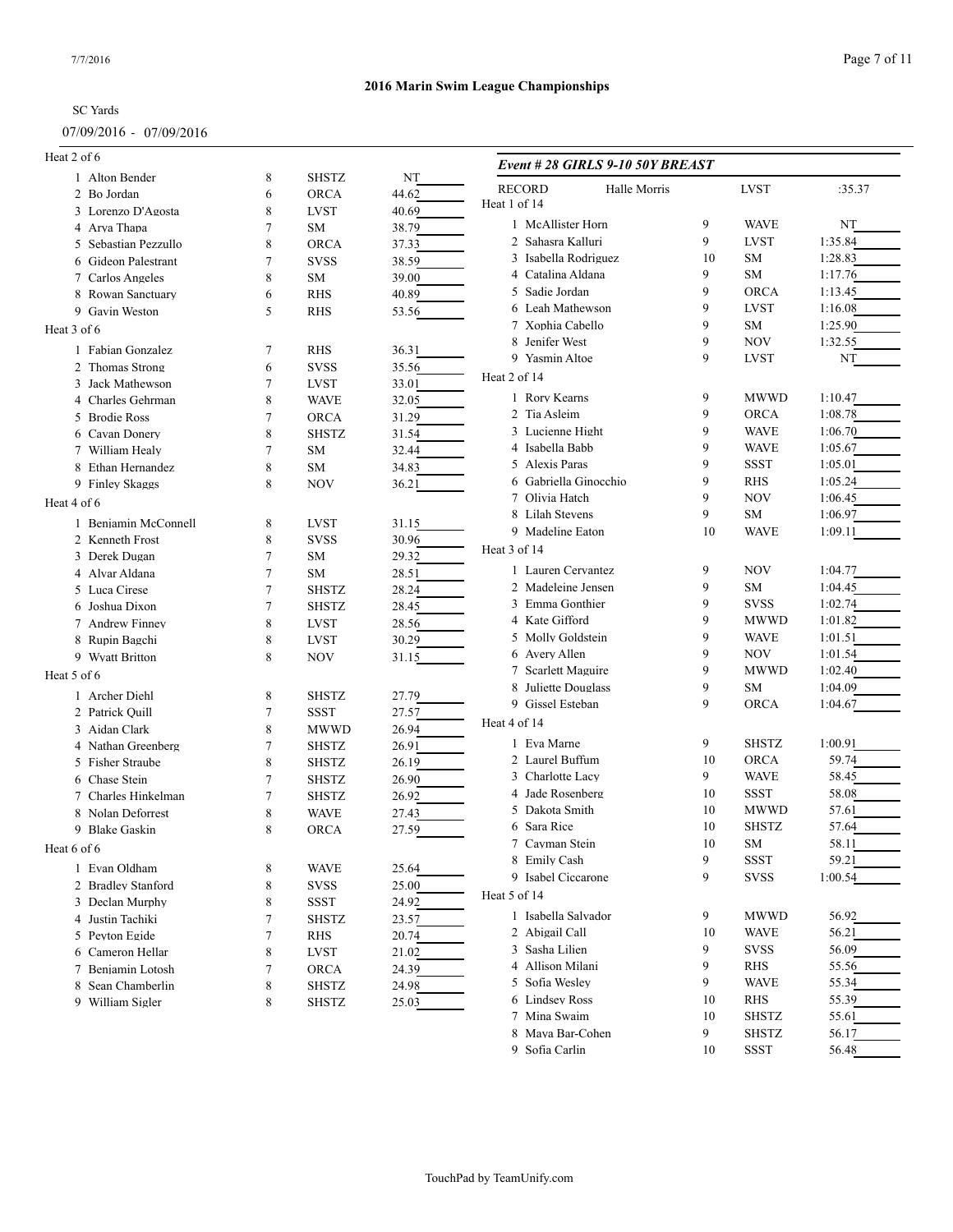### 07/09/2016 - 07/09/2016

| Heat 2 of 6          |                |              |       | Event #28 GIRLS 9-10 50Y BREAST |    |              |                    |
|----------------------|----------------|--------------|-------|---------------------------------|----|--------------|--------------------|
| 1 Alton Bender       | 8              | <b>SHSTZ</b> | NT    |                                 |    |              |                    |
| 2 Bo Jordan          | 6              | <b>ORCA</b>  | 44.62 | <b>RECORD</b><br>Halle Morris   |    | <b>LVST</b>  | :35.37             |
| 3 Lorenzo D'Agosta   | 8              | <b>LVST</b>  | 40.69 | Heat 1 of 14                    |    |              |                    |
| 4 Arya Thapa         | 7              | SM           | 38.79 | 1 McAllister Horn               | 9  | <b>WAVE</b>  | NT                 |
| 5 Sebastian Pezzullo | 8              | <b>ORCA</b>  | 37.33 | 2 Sahasra Kalluri               | 9  | <b>LVST</b>  | 1:35.84            |
| 6 Gideon Palestrant  | $\overline{7}$ | <b>SVSS</b>  | 38.59 | 3 Isabella Rodriguez            | 10 | ${\rm SM}$   | 1:28.83            |
| 7 Carlos Angeles     | 8              | SM           | 39.00 | 4 Catalina Aldana               | 9  | SM           | 1:17.76            |
| 8 Rowan Sanctuary    | 6              | <b>RHS</b>   | 40.89 | 5 Sadie Jordan                  | 9  | <b>ORCA</b>  | 1:13.45            |
| 9 Gavin Weston       | 5              | <b>RHS</b>   | 53.56 | 6 Leah Mathewson                | 9  | <b>LVST</b>  | 1:16.08            |
| Heat 3 of 6          |                |              |       | 7 Xophia Cabello                | 9  | <b>SM</b>    | 1:25.90            |
| 1 Fabian Gonzalez    | 7              | <b>RHS</b>   | 36.31 | 8 Jenifer West                  | 9  | <b>NOV</b>   | 1:32.55            |
| 2 Thomas Strong      | 6              | <b>SVSS</b>  | 35.56 | 9 Yasmin Altoe                  | 9  | <b>LVST</b>  | NT                 |
| 3 Jack Mathewson     | 7              | <b>LVST</b>  | 33.01 | Heat 2 of 14                    |    |              |                    |
|                      | 8              | <b>WAVE</b>  |       | 1 Rory Kearns                   | 9  | <b>MWWD</b>  | 1:10.47            |
| 4 Charles Gehrman    |                |              | 32.05 | 2 Tia Asleim                    | 9  | <b>ORCA</b>  | 1:08.78            |
| 5 Brodie Ross        | 7              | <b>ORCA</b>  | 31.29 | 3 Lucienne Hight                | 9  | <b>WAVE</b>  | 1:06.70            |
| Cavan Donery<br>6    | 8              | <b>SHSTZ</b> | 31.54 | 4 Isabella Babb                 | 9  | <b>WAVE</b>  | 1:05.67            |
| 7 William Healy      | 7              | SM           | 32.44 | 5 Alexis Paras                  | 9  | <b>SSST</b>  | 1:05.01            |
| 8 Ethan Hernandez    | 8              | SM           | 34.83 | 6 Gabriella Ginocchio           | 9  | <b>RHS</b>   | 1:05.24            |
| 9 Finley Skaggs      | 8              | <b>NOV</b>   | 36.21 | 7 Olivia Hatch                  | 9  | <b>NOV</b>   | 1:06.45            |
| Heat 4 of 6          |                |              |       | 8 Lilah Stevens                 | 9  | SM           |                    |
| 1 Benjamin McConnell | 8              | <b>LVST</b>  | 31.15 | 9 Madeline Eaton                | 10 | <b>WAVE</b>  | 1:06.97<br>1:09.11 |
| 2 Kenneth Frost      | 8              | <b>SVSS</b>  | 30.96 |                                 |    |              |                    |
| 3 Derek Dugan        | $\overline{7}$ | SM           | 29.32 | Heat 3 of 14                    |    |              |                    |
| 4 Alvar Aldana       | 7              | SM           | 28.51 | 1 Lauren Cervantez              | 9  | <b>NOV</b>   | 1:04.77            |
| 5 Luca Cirese        | $\tau$         | <b>SHSTZ</b> | 28.24 | 2 Madeleine Jensen              | 9  | SM           | 1:04.45            |
| 6 Joshua Dixon       | $\tau$         | <b>SHSTZ</b> | 28.45 | 3 Emma Gonthier                 | 9  | <b>SVSS</b>  | 1:02.74            |
| 7 Andrew Finney      | 8              | <b>LVST</b>  | 28.56 | 4 Kate Gifford                  | 9  | <b>MWWD</b>  | 1:01.82            |
| 8 Rupin Bagchi       | 8              | <b>LVST</b>  | 30.29 | 5 Molly Goldstein               | 9  | <b>WAVE</b>  | 1:01.51            |
| 9 Wyatt Britton      | 8              | <b>NOV</b>   | 31.15 | 6 Avery Allen                   | 9  | <b>NOV</b>   | 1:01.54            |
| Heat 5 of 6          |                |              |       | 7 Scarlett Maguire              | 9  | <b>MWWD</b>  | 1:02.40            |
|                      |                |              |       | 8 Juliette Douglass             | 9  | <b>SM</b>    | 1:04.09            |
| 1 Archer Diehl       | 8              | <b>SHSTZ</b> | 27.79 | 9 Gissel Esteban                | 9  | <b>ORCA</b>  | 1:04.67            |
| 2 Patrick Quill      | 7              | <b>SSST</b>  | 27.57 | Heat 4 of 14                    |    |              |                    |
| 3 Aidan Clark        | 8              | <b>MWWD</b>  | 26.94 | 1 Eva Marne                     | 9  | <b>SHSTZ</b> | 1:00.91            |
| 4 Nathan Greenberg   | $\tau$         | <b>SHSTZ</b> | 26.91 |                                 | 10 |              | 59.74              |
| 5 Fisher Straube     | 8              | <b>SHSTZ</b> | 26.19 | 2 Laurel Buffum                 | 9  | <b>ORCA</b>  |                    |
| 6 Chase Stein        | $\overline{7}$ | <b>SHSTZ</b> | 26.90 | 3 Charlotte Lacy                |    | <b>WAVE</b>  | 58.45              |
| 7 Charles Hinkelman  | $\overline{7}$ | <b>SHSTZ</b> | 26.92 | 4 Jade Rosenberg                | 10 | <b>SSST</b>  | 58.08              |
| 8 Nolan Deforrest    | 8              | <b>WAVE</b>  | 27.43 | 5 Dakota Smith                  | 10 | <b>MWWD</b>  | 57.61              |
| 9 Blake Gaskin       | 8              | <b>ORCA</b>  | 27.59 | 6 Sara Rice                     | 10 | <b>SHSTZ</b> | 57.64              |
| Heat 6 of 6          |                |              |       | 7 Cayman Stein                  | 10 | SM           | 58.11              |
| 1 Evan Oldham        | 8              | <b>WAVE</b>  | 25.64 | 8 Emily Cash                    | 9  | <b>SSST</b>  | 59.21              |
| 2 Bradley Stanford   | 8              | <b>SVSS</b>  | 25.00 | 9 Isabel Ciccarone              | 9  | <b>SVSS</b>  | 1:00.54            |
| 3 Declan Murphy      | 8              | <b>SSST</b>  | 24.92 | Heat 5 of 14                    |    |              |                    |
| 4 Justin Tachiki     | $\tau$         | <b>SHSTZ</b> | 23.57 | 1 Isabella Salvador             | 9  | <b>MWWD</b>  | 56.92              |
| 5 Peyton Egide       | $\tau$         | RHS          | 20.74 | 2 Abigail Call                  | 10 | <b>WAVE</b>  | 56.21              |
| 6 Cameron Hellar     | 8              | LVST         | 21.02 | 3 Sasha Lilien                  | 9  | <b>SVSS</b>  | 56.09              |
| 7 Benjamin Lotosh    | 7              | ORCA         | 24.39 | 4 Allison Milani                | 9  | RHS          | 55.56              |
| 8 Sean Chamberlin    | 8              | <b>SHSTZ</b> | 24.98 | 5 Sofia Wesley                  | 9  | <b>WAVE</b>  | 55.34              |
| 9 William Sigler     | 8              | <b>SHSTZ</b> | 25.03 | 6 Lindsey Ross                  | 10 | RHS          | 55.39              |
|                      |                |              |       | 7 Mina Swaim                    | 10 | <b>SHSTZ</b> | 55.61              |
|                      |                |              |       | 8 Maya Bar-Cohen                | 9  | <b>SHSTZ</b> | 56.17              |
|                      |                |              |       | 9 Sofia Carlin                  | 10 | SSST         | 56.48              |
|                      |                |              |       |                                 |    |              |                    |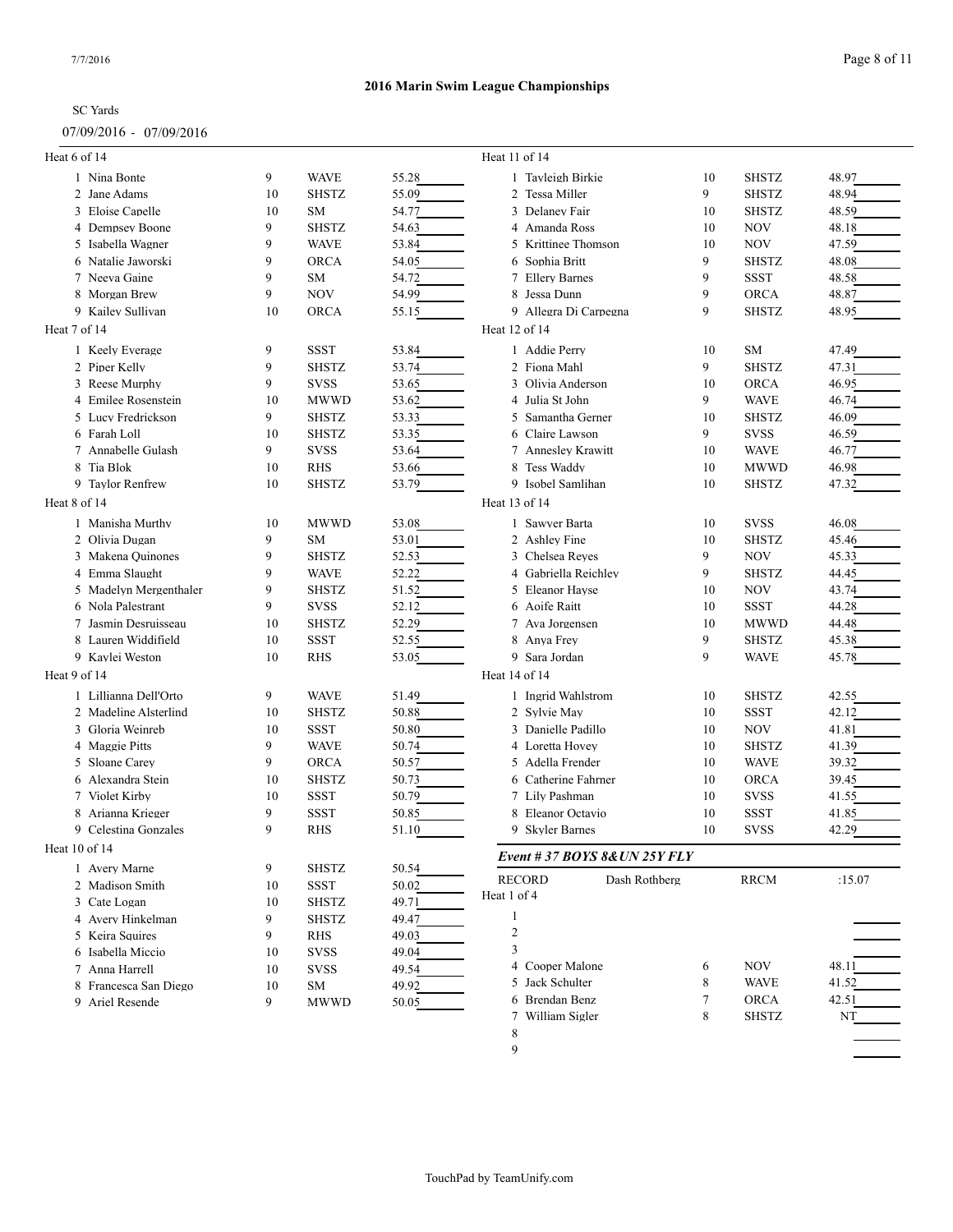# 07/09/2016 - 07/09/2016

| Heat 6 of 14                           |         |                             |                | Heat 11 of 14                       |    |              |        |
|----------------------------------------|---------|-----------------------------|----------------|-------------------------------------|----|--------------|--------|
| 1 Nina Bonte                           | 9       | <b>WAVE</b>                 | 55.28          | 1 Tayleigh Birkie                   | 10 | <b>SHSTZ</b> | 48.97  |
| 2 Jane Adams                           | 10      | <b>SHSTZ</b>                | 55.09          | 2 Tessa Miller                      | 9  | <b>SHSTZ</b> | 48.94  |
| 3 Eloise Capelle                       | 10      | SM                          | 54.77          | 3 Delaney Fair                      | 10 | <b>SHSTZ</b> | 48.59  |
| 4 Dempsey Boone                        | 9       | <b>SHSTZ</b>                | 54.63          | 4 Amanda Ross                       | 10 | <b>NOV</b>   | 48.18  |
| 5 Isabella Wagner                      | 9       | <b>WAVE</b>                 | 53.84          | 5 Krittinee Thomson                 | 10 | <b>NOV</b>   | 47.59  |
| 6 Natalie Jaworski                     | 9       | <b>ORCA</b>                 | 54.05          | 6 Sophia Britt                      | 9  | <b>SHSTZ</b> | 48.08  |
| 7 Neeva Gaine                          | 9       | <b>SM</b>                   | 54.72          | 7 Ellery Barnes                     | 9  | <b>SSST</b>  | 48.58  |
| 8 Morgan Brew                          | 9       | <b>NOV</b>                  | 54.99          | 8 Jessa Dunn                        | 9  | ORCA         | 48.87  |
| 9 Kailey Sullivan                      | 10      | <b>ORCA</b>                 | 55.15          | 9 Allegra Di Carpegna               | 9  | <b>SHSTZ</b> | 48.95  |
| Heat 7 of 14                           |         |                             |                | Heat 12 of 14                       |    |              |        |
| 1 Keelv Everage                        | 9       | <b>SSST</b>                 | 53.84          | 1 Addie Perry                       | 10 | <b>SM</b>    | 47.49  |
| 2 Piper Kelly                          | 9       | <b>SHSTZ</b>                | 53.74          | 2 Fiona Mahl                        | 9  | <b>SHSTZ</b> | 47.31  |
| 3 Reese Murphy                         | 9       | <b>SVSS</b>                 | 53.65          | 3 Olivia Anderson                   | 10 | <b>ORCA</b>  | 46.95  |
| 4 Emilee Rosenstein                    | 10      | MWWD                        | 53.62          | 4   Julia St John                   | 9  | <b>WAVE</b>  | 46.74  |
| 5 Lucy Fredrickson                     | 9       | <b>SHSTZ</b>                | 53.33          | 5 Samantha Gerner                   | 10 | <b>SHSTZ</b> | 46.09  |
| 6 Farah Loll                           | 10      | <b>SHSTZ</b>                | 53.35          | 6 Claire Lawson                     | 9  | <b>SVSS</b>  | 46.59  |
| 7 Annabelle Gulash                     | 9       | <b>SVSS</b>                 | 53.64          | 7 Annesley Krawitt                  | 10 | <b>WAVE</b>  | 46.77  |
| 8 Tia Blok                             | 10      | RHS                         | 53.66          | 8 Tess Waddy                        | 10 | <b>MWWD</b>  | 46.98  |
| 9 Taylor Renfrew                       | 10      | <b>SHSTZ</b>                | 53.79          | 9 Isobel Samlihan                   | 10 | <b>SHSTZ</b> | 47.32  |
| Heat 8 of 14                           |         |                             |                | Heat 13 of 14                       |    |              |        |
| 1 Manisha Murthy                       | 10      | <b>MWWD</b>                 | 53.08          | 1 Sawyer Barta                      | 10 | <b>SVSS</b>  | 46.08  |
| 2 Olivia Dugan                         | 9       | SM                          | 53.01          | 2 Ashley Fine                       | 10 | <b>SHSTZ</b> | 45.46  |
| 3 Makena Quinones                      | 9       | <b>SHSTZ</b>                | 52.53          | 3 Chelsea Reves                     | 9  | <b>NOV</b>   | 45.33  |
| 4 Emma Slaught                         | 9       | <b>WAVE</b>                 | 52.22          | 4 Gabriella Reichlev                | 9  | <b>SHSTZ</b> | 44.45  |
| 5 Madelyn Mergenthaler                 | 9       | <b>SHSTZ</b>                | 51.52          | 5 Eleanor Hayse                     | 10 | NOV          | 43.74  |
| 6 Nola Palestrant                      | 9       | <b>SVSS</b>                 | 52.12          | 6 Aoife Raitt                       | 10 | <b>SSST</b>  | 44.28  |
| 7 Jasmin Desruisseau                   | 10      | <b>SHSTZ</b>                | 52.29          | 7 Ava Jorgensen                     | 10 | <b>MWWD</b>  | 44.48  |
| 8 Lauren Widdifield                    | 10      | SSST                        | 52.55          | 8 Anya Frey                         | 9  | <b>SHSTZ</b> | 45.38  |
| 9 Kaylei Weston                        | 10      | <b>RHS</b>                  | 53.05          | 9 Sara Jordan                       | 9  | <b>WAVE</b>  | 45.78  |
| Heat 9 of 14                           |         |                             |                | Heat 14 of 14                       |    |              |        |
|                                        |         |                             |                |                                     |    |              |        |
| 1 Lillianna Dell'Orto                  | 9       | <b>WAVE</b>                 | 51.49          | 1 Ingrid Wahlstrom                  | 10 | <b>SHSTZ</b> | 42.55  |
| 2 Madeline Alsterlind                  | 10      | <b>SHSTZ</b>                | 50.88          | 2 Sylvie May                        | 10 | <b>SSST</b>  | 42.12  |
| 3 Gloria Weinreb                       | 10<br>9 | SSST                        | 50.80          | 3 Danielle Padillo                  | 10 | <b>NOV</b>   | 41.81  |
| 4 Maggie Pitts<br>Sloane Carey         | 9       | <b>WAVE</b><br><b>ORCA</b>  | 50.74          | 4 Loretta Hovey<br>5 Adella Frender | 10 | <b>SHSTZ</b> | 41.39  |
| 5                                      | 10      |                             | 50.57          |                                     | 10 | <b>WAVE</b>  | 39.32  |
| Alexandra Stein<br>6<br>7 Violet Kirby | 10      | <b>SHSTZ</b><br><b>SSST</b> | 50.73<br>50.79 | 6 Catherine Fahrner                 | 10 | <b>ORCA</b>  | 39.45  |
|                                        |         |                             |                | 7 Lily Pashman                      | 10 | <b>SVSS</b>  | 41.55  |
| 8 Arianna Krieger                      | 9<br>9  | <b>SSST</b>                 | 50.85          | 8 Eleanor Octavio                   | 10 | <b>SSST</b>  | 41.85  |
| 9 Celestina Gonzales                   |         | <b>RHS</b>                  | 51.10          | 9 Skyler Barnes                     | 10 | <b>SVSS</b>  | 42.29  |
| Heat 10 of 14                          |         |                             |                | Event # 37 BOYS 8& UN 25Y FLY       |    |              |        |
| 1 Avery Marne                          | 9       | <b>SHSTZ</b>                | 50.54          | <b>RECORD</b><br>Dash Rothberg      |    | <b>RRCM</b>  | :15.07 |
| 2 Madison Smith                        | 10      | <b>SSST</b>                 | 50.02          | Heat 1 of 4                         |    |              |        |
| 3 Cate Logan                           | 10      | SHSTZ                       | 49.71          |                                     |    |              |        |
| 4 Avery Hinkelman                      | 9       | <b>SHSTZ</b>                | 49.47          | 1                                   |    |              |        |
| 5 Keira Squires                        | 9       | RHS                         | 49.03          | $\overline{c}$                      |    |              |        |
| 6 Isabella Miccio                      | 10      | <b>SVSS</b>                 | 49.04          | 3                                   |    |              |        |
| 7 Anna Harrell                         | 10      | <b>SVSS</b>                 | 49.54          | 4 Cooper Malone                     | 6  | <b>NOV</b>   | 48.11  |
| 8 Francesca San Diego                  | 10      | SΜ                          | 49.92          | 5 Jack Schulter                     | 8  | <b>WAVE</b>  | 41.52  |
| 9 Ariel Resende                        | 9       | <b>MWWD</b>                 | 50.05          | 6 Brendan Benz                      | 7  | <b>ORCA</b>  | 42.51  |
|                                        |         |                             |                | 7 William Sigler                    | 8  | <b>SHSTZ</b> | NT     |
|                                        |         |                             |                | 8                                   |    |              |        |
|                                        |         |                             |                | 9                                   |    |              |        |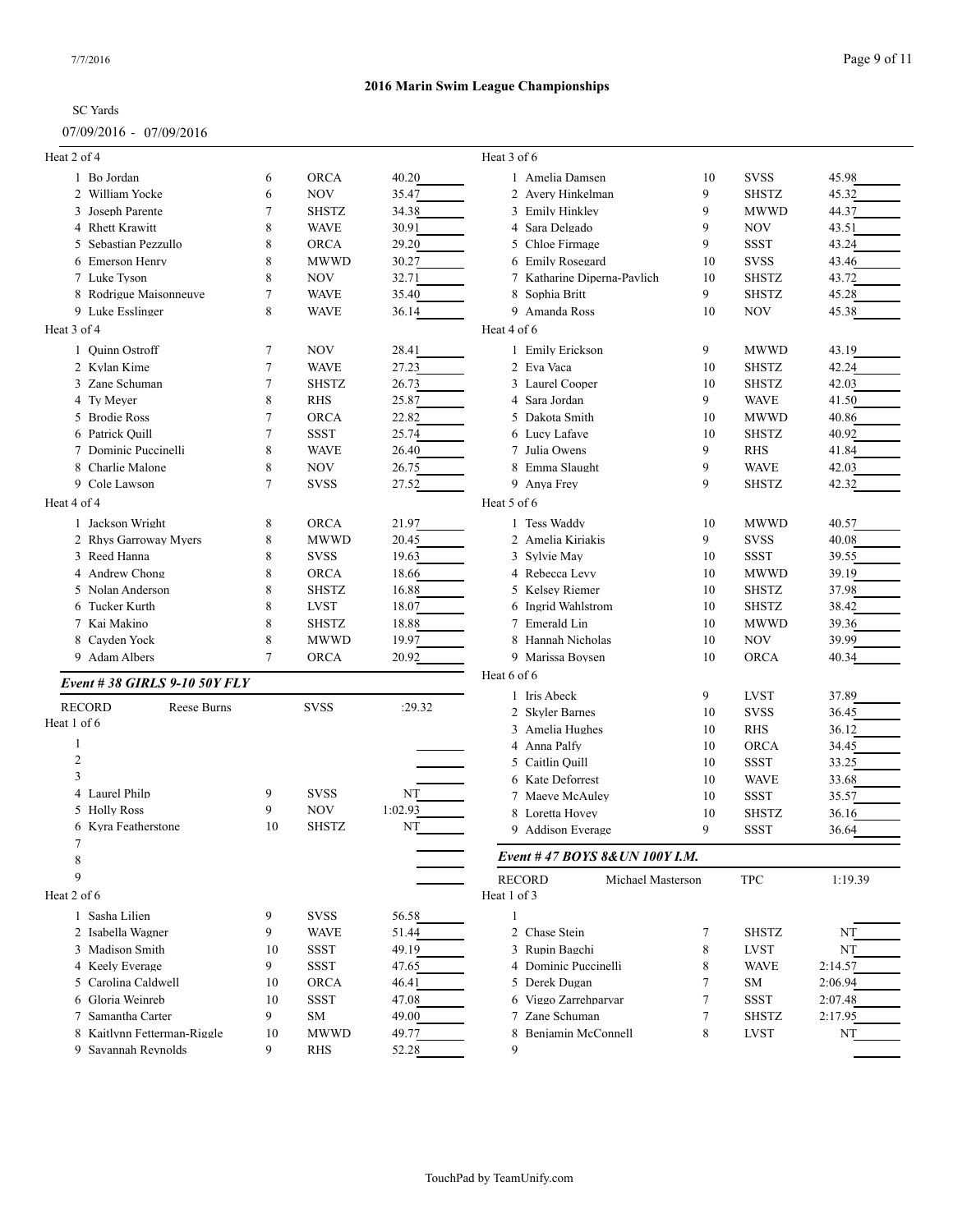### 07/09/2016 - 07/09/2016

| Heat 2 of 4                  |    |              |         | Heat 3 of 6                        |                |                    |                |
|------------------------------|----|--------------|---------|------------------------------------|----------------|--------------------|----------------|
| 1 Bo Jordan                  | 6  | <b>ORCA</b>  | 40.20   | 1 Amelia Damsen                    | 10             | <b>SVSS</b>        | 45.98          |
| 2 William Yocke              | 6  | <b>NOV</b>   | 35.47   | 2 Avery Hinkelman                  | 9              | <b>SHSTZ</b>       | 45.32          |
| 3 Joseph Parente             | 7  | <b>SHSTZ</b> | 34.38   | 3 Emily Hinkley                    | 9              | <b>MWWD</b>        | 44.37          |
| 4 Rhett Krawitt              | 8  | <b>WAVE</b>  | 30.91   | 4 Sara Delgado                     | 9              | <b>NOV</b>         | 43.51          |
| 5 Sebastian Pezzullo         | 8  | <b>ORCA</b>  | 29.20   | 5 Chloe Firmage                    | 9              | <b>SSST</b>        | 43.24          |
| <b>Emerson Henry</b>         | 8  | <b>MWWD</b>  | 30.27   | 6 Emily Rosegard                   | 10             | <b>SVSS</b>        | 43.46          |
| 7 Luke Tyson                 | 8  | <b>NOV</b>   | 32.71   | 7 Katharine Diperna-Pavlich        | 10             | <b>SHSTZ</b>       | 43.72          |
| 8 Rodrigue Maisonneuve       | 7  | <b>WAVE</b>  | 35.40   | 8 Sophia Britt                     | 9              | <b>SHSTZ</b>       | 45.28          |
| 9 Luke Esslinger             | 8  | <b>WAVE</b>  | 36.14   | 9 Amanda Ross                      | 10             | <b>NOV</b>         | 45.38          |
| Heat 3 of 4                  |    |              |         | Heat 4 of 6                        |                |                    |                |
| 1 Quinn Ostroff              | 7  | <b>NOV</b>   | 28.41   | 1 Emily Erickson                   | 9              | <b>MWWD</b>        | 43.19          |
| 2 Kylan Kime                 | 7  | <b>WAVE</b>  | 27.23   | 2 Eva Vaca                         | 10             | <b>SHSTZ</b>       | 42.24          |
| 3 Zane Schuman               | 7  | <b>SHSTZ</b> | 26.73   | 3 Laurel Cooper                    | 10             | <b>SHSTZ</b>       | 42.03          |
| 4 Ty Meyer                   | 8  | <b>RHS</b>   | 25.87   | 4 Sara Jordan                      | 9              | <b>WAVE</b>        | 41.50          |
| 5 Brodie Ross                | 7  | <b>ORCA</b>  | 22.82   | 5 Dakota Smith                     | 10             | <b>MWWD</b>        | 40.86          |
| 6 Patrick Quill              | 7  | <b>SSST</b>  | 25.74   | 6 Lucy Lafave                      | 10             | <b>SHSTZ</b>       | 40.92          |
| 7 Dominic Puccinelli         | 8  | <b>WAVE</b>  | 26.40   | 7 Julia Owens                      | 9              | <b>RHS</b>         | 41.84          |
| 8 Charlie Malone             | 8  | <b>NOV</b>   | 26.75   | 8 Emma Slaught                     | 9              | <b>WAVE</b>        | 42.03          |
| 9 Cole Lawson                | 7  | <b>SVSS</b>  | 27.52   | 9 Anva Frev                        | 9              | <b>SHSTZ</b>       | 42.32          |
| Heat 4 of 4                  |    |              |         | Heat 5 of 6                        |                |                    |                |
| 1 Jackson Wright             | 8  | <b>ORCA</b>  | 21.97   | 1 Tess Waddy                       | 10             | <b>MWWD</b>        | 40.57          |
| 2 Rhys Garroway Myers        | 8  | <b>MWWD</b>  | 20.45   | 2 Amelia Kiriakis                  | 9              | <b>SVSS</b>        | 40.08          |
| 3 Reed Hanna                 | 8  | <b>SVSS</b>  | 19.63   | 3 Sylvie May                       | 10             | <b>SSST</b>        | 39.55          |
| 4 Andrew Chong               | 8  | <b>ORCA</b>  | 18.66   | 4 Rebecca Levy                     | 10             | <b>MWWD</b>        | 39.19          |
| 5 Nolan Anderson             | 8  | <b>SHSTZ</b> | 16.88   | 5 Kelsey Riemer                    | 10             | <b>SHSTZ</b>       | 37.98          |
| 6 Tucker Kurth               | 8  | <b>LVST</b>  | 18.07   | 6 Ingrid Wahlstrom                 | 10             | <b>SHSTZ</b>       | 38.42          |
| 7 Kai Makino                 | 8  | <b>SHSTZ</b> | 18.88   | 7 Emerald Lin                      | 10             | <b>MWWD</b>        | 39.36          |
| 8 Cayden Yock                | 8  | <b>MWWD</b>  | 19.97   | 8 Hannah Nicholas                  | 10             | <b>NOV</b>         | 39.99          |
| 9 Adam Albers                | 7  | <b>ORCA</b>  | 20.92   | 9 Marissa Boysen                   | 10             | <b>ORCA</b>        | 40.34          |
|                              |    |              |         | Heat 6 of 6                        |                |                    |                |
| Event #38 GIRLS 9-10 50Y FLY |    |              |         | 1 Iris Abeck                       | 9              | <b>LVST</b>        | 37.89          |
| <b>RECORD</b><br>Reese Burns |    | <b>SVSS</b>  | :29.32  | 2 Skyler Barnes                    | 10             | <b>SVSS</b>        | 36.45          |
| Heat 1 of 6                  |    |              |         |                                    |                |                    |                |
| 1                            |    |              |         | 3 Amelia Hughes<br>4 Anna Palfy    | 10<br>10       | <b>RHS</b><br>ORCA | 36.12<br>34.45 |
| 2                            |    |              |         | 5 Caitlin Quill                    | 10             | <b>SSST</b>        | 33.25          |
| 3                            |    |              |         | 6 Kate Deforrest                   | 10             | <b>WAVE</b>        | 33.68          |
| 4 Laurel Philp               | 9  | <b>SVSS</b>  | NT      | 7 Maeve McAuley                    | 10             | <b>SSST</b>        | 35.57          |
| 5 Holly Ross                 | 9  | <b>NOV</b>   | 1:02.93 | 8 Loretta Hovey                    | 10             | <b>SHSTZ</b>       |                |
| 6 Kyra Featherstone          | 10 | <b>SHSTZ</b> | NT      | 9 Addison Everage                  | 9              | <b>SSST</b>        | 36.16<br>36.64 |
| 7                            |    |              |         |                                    |                |                    |                |
| 8                            |    |              |         | Event #47 BOYS 8& UN 100Y I.M.     |                |                    |                |
| 9                            |    |              |         | <b>RECORD</b><br>Michael Masterson |                | <b>TPC</b>         | 1:19.39        |
| Heat 2 of 6                  |    |              |         | Heat 1 of 3                        |                |                    |                |
| 1 Sasha Lilien               | 9  | <b>SVSS</b>  | 56.58   | $\mathbf{1}$                       |                |                    |                |
| 2 Isabella Wagner            | 9  | <b>WAVE</b>  | 51.44   | 2 Chase Stein                      | 7              | <b>SHSTZ</b>       | NT             |
| 3 Madison Smith              | 10 | <b>SSST</b>  | 49.19   | 3 Rupin Bagchi                     | 8              | <b>LVST</b>        | NT             |
| 4 Keely Everage              | 9  | <b>SSST</b>  | 47.65   | 4 Dominic Puccinelli               | 8              | <b>WAVE</b>        | 2:14.57        |
| 5 Carolina Caldwell          | 10 | <b>ORCA</b>  | 46.41   | 5 Derek Dugan                      | $\overline{7}$ | SM                 | 2:06.94        |
| 6 Gloria Weinreb             | 10 | <b>SSST</b>  | 47.08   | 6 Viggo Zarrehparvar               | $\overline{7}$ | <b>SSST</b>        | 2:07.48        |
| 7 Samantha Carter            | 9  | <b>SM</b>    | 49.00   | 7 Zane Schuman                     | $\overline{7}$ | <b>SHSTZ</b>       | 2:17.95        |
| 8 Kaitlynn Fetterman-Riggle  | 10 | <b>MWWD</b>  | 49.77   | 8 Benjamin McConnell               | 8              | <b>LVST</b>        | NT             |
| 9 Savannah Reynolds          | 9  | RHS          | 52.28   | 9                                  |                |                    |                |
|                              |    |              |         |                                    |                |                    |                |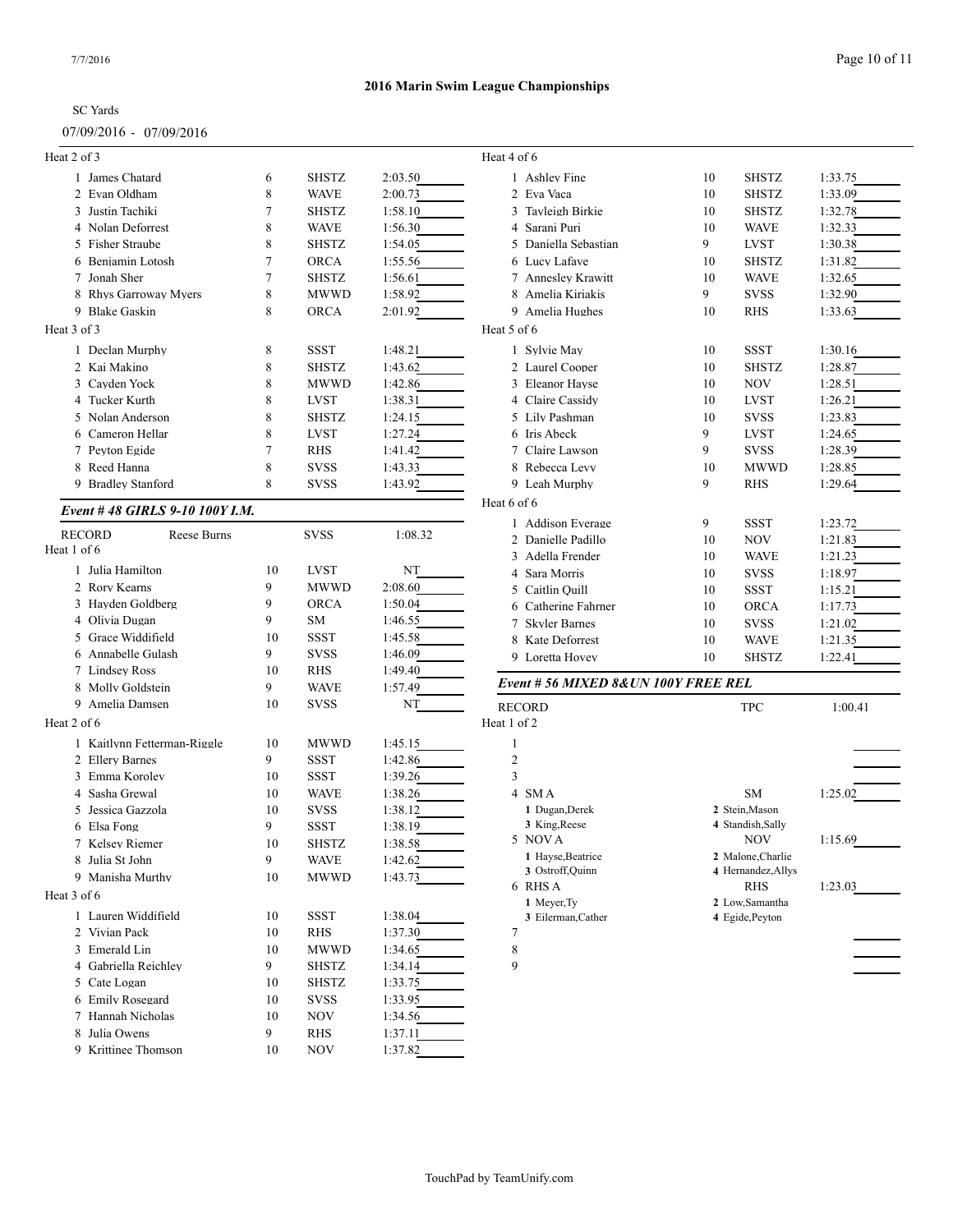# 07/09/2016 - 07/09/2016

| Heat 2 of 3                    |                |              |         | Heat 4 of 6                          |    |                               |         |
|--------------------------------|----------------|--------------|---------|--------------------------------------|----|-------------------------------|---------|
| 1 James Chatard                | 6              | <b>SHSTZ</b> | 2:03.50 | 1 Ashley Fine                        | 10 | <b>SHSTZ</b>                  | 1:33.75 |
| 2 Evan Oldham                  | 8              | <b>WAVE</b>  | 2:00.73 | 2 Eva Vaca                           | 10 | <b>SHSTZ</b>                  | 1:33.09 |
| 3 Justin Tachiki               | 7              | <b>SHSTZ</b> | 1:58.10 | 3 Tayleigh Birkie                    | 10 | <b>SHSTZ</b>                  | 1:32.78 |
| 4 Nolan Deforrest              | 8              | <b>WAVE</b>  | 1:56.30 | 4 Sarani Puri                        | 10 | <b>WAVE</b>                   | 1:32.33 |
| 5 Fisher Straube               | 8              | <b>SHSTZ</b> | 1:54.05 | 5 Daniella Sebastian                 | 9  | <b>LVST</b>                   | 1:30.38 |
| 6 Benjamin Lotosh              | $\overline{7}$ | <b>ORCA</b>  | 1:55.56 | 6 Lucy Lafave                        | 10 | <b>SHSTZ</b>                  | 1:31.82 |
| 7 Jonah Sher                   | $\overline{7}$ | <b>SHSTZ</b> | 1:56.61 | 7 Annesley Krawitt                   | 10 | <b>WAVE</b>                   | 1:32.65 |
| 8 Rhys Garroway Myers          | 8              | <b>MWWD</b>  | 1:58.92 | 8 Amelia Kiriakis                    | 9  | <b>SVSS</b>                   | 1:32.90 |
| 9 Blake Gaskin                 | 8              | <b>ORCA</b>  | 2:01.92 | 9 Amelia Hughes                      | 10 | <b>RHS</b>                    | 1:33.63 |
| Heat 3 of 3                    |                |              |         | Heat 5 of 6                          |    |                               |         |
| 1 Declan Murphy                | 8              | <b>SSST</b>  | 1:48.21 | 1 Sylvie May                         | 10 | <b>SSST</b>                   | 1:30.16 |
| 2 Kai Makino                   | 8              | <b>SHSTZ</b> | 1:43.62 | 2 Laurel Cooper                      | 10 | <b>SHSTZ</b>                  | 1:28.87 |
| 3 Cayden Yock                  | 8              | <b>MWWD</b>  | 1:42.86 | 3 Eleanor Hayse                      | 10 | <b>NOV</b>                    | 1:28.51 |
| 4 Tucker Kurth                 | 8              | <b>LVST</b>  | 1:38.31 | 4 Claire Cassidy                     | 10 | <b>LVST</b>                   | 1:26.21 |
| 5 Nolan Anderson               | 8              | <b>SHSTZ</b> | 1:24.15 | 5 Lily Pashman                       | 10 | <b>SVSS</b>                   | 1:23.83 |
| 6 Cameron Hellar               | 8              | <b>LVST</b>  | 1:27.24 | 6 Iris Abeck                         | 9  | <b>LVST</b>                   | 1:24.65 |
| 7 Peyton Egide                 | $\overline{7}$ | <b>RHS</b>   | 1:41.42 | 7 Claire Lawson                      | 9  | <b>SVSS</b>                   | 1:28.39 |
| 8 Reed Hanna                   | 8              | <b>SVSS</b>  | 1:43.33 | 8 Rebecca Levy                       | 10 | <b>MWWD</b>                   | 1:28.85 |
| 9 Bradley Stanford             | 8              | <b>SVSS</b>  | 1:43.92 | 9 Leah Murphy                        | 9  | <b>RHS</b>                    | 1:29.64 |
| Event #48 GIRLS 9-10 100Y I.M. |                |              |         | Heat 6 of 6                          |    |                               |         |
|                                |                |              |         | 1 Addison Everage                    | 9  | <b>SSST</b>                   | 1:23.72 |
| <b>RECORD</b><br>Reese Burns   |                | <b>SVSS</b>  | 1:08.32 | 2 Danielle Padillo                   | 10 | <b>NOV</b>                    | 1:21.83 |
| Heat 1 of 6                    |                |              |         | 3 Adella Frender                     | 10 | <b>WAVE</b>                   | 1:21.23 |
| 1 Julia Hamilton               | 10             | <b>LVST</b>  | NT      | 4 Sara Morris                        | 10 | <b>SVSS</b>                   | 1:18.97 |
| 2 Rory Kearns                  | 9              | <b>MWWD</b>  | 2:08.60 | 5 Caitlin Ouill                      | 10 | <b>SSST</b>                   | 1:15.21 |
| 3 Hayden Goldberg              | 9              | <b>ORCA</b>  | 1:50.04 | 6 Catherine Fahrner                  | 10 | <b>ORCA</b>                   | 1:17.73 |
| 4 Olivia Dugan                 | 9              | SM           | 1:46.55 | 7 Skyler Barnes                      | 10 | <b>SVSS</b>                   | 1:21.02 |
| 5 Grace Widdifield             | 10             | <b>SSST</b>  | 1:45.58 | 8 Kate Deforrest                     | 10 | <b>WAVE</b>                   | 1:21.35 |
| Annabelle Gulash               | 9              | <b>SVSS</b>  | 1:46.09 | 9 Loretta Hovey                      | 10 | <b>SHSTZ</b>                  | 1:22.41 |
| 7 Lindsey Ross                 | 10             | <b>RHS</b>   | 1:49.40 |                                      |    |                               |         |
| 8 Molly Goldstein              | 9              | <b>WAVE</b>  | 1:57.49 | Event # 56 MIXED 8& UN 100Y FREE REL |    |                               |         |
| 9 Amelia Damsen                | 10             | <b>SVSS</b>  | NT      | <b>RECORD</b>                        |    | <b>TPC</b>                    | 1:00.41 |
| Heat 2 of 6                    |                |              |         | Heat 1 of 2                          |    |                               |         |
| 1 Kaitlynn Fetterman-Riggle    | 10             | <b>MWWD</b>  | 1:45.15 | -1                                   |    |                               |         |
| 2 Ellery Barnes                | 9              | <b>SSST</b>  | 1:42.86 | $\mathfrak{2}$                       |    |                               |         |
| 3 Emma Korolev                 | 10             | <b>SSST</b>  | 1:39.26 | 3                                    |    |                               |         |
| 4 Sasha Grewal                 | 10             | <b>WAVE</b>  | 1:38.26 | 4 SMA                                |    | <b>SM</b>                     | 1:25.02 |
| Jessica Gazzola<br>5           | 10             | <b>SVSS</b>  | 1:38.12 | 1 Dugan, Derek                       |    | 2 Stein, Mason                |         |
| 6 Elsa Fong                    | 9              | <b>SSST</b>  | 1:38.19 | 3 King, Reese                        |    | 4 Standish, Sally             |         |
| 7 Kelsey Riemer                | 10             | <b>SHSTZ</b> | 1:38.58 | 5 NOVA                               |    | <b>NOV</b>                    | 1:15.69 |
| 8 Julia St John                | 9              | <b>WAVE</b>  | 1:42.62 | 1 Hayse, Beatrice                    |    | 2 Malone, Charlie             |         |
| 9 Manisha Murthy               | 10             | <b>MWWD</b>  | 1:43.73 | 3 Ostroff, Quinn<br>6 RHS A          |    | 4 Hernandez, Allys            | 1:23.03 |
| Heat 3 of 6                    |                |              |         | 1 Meyer, Ty                          |    | <b>RHS</b><br>2 Low, Samantha |         |
| 1 Lauren Widdifield            | 10             | SSST         | 1:38.04 | 3 Eilerman, Cather                   |    | 4 Egide, Peyton               |         |
| 2 Vivian Pack                  | 10             | RHS          | 1:37.30 | 7                                    |    |                               |         |
| 3 Emerald Lin                  | 10             | <b>MWWD</b>  | 1:34.65 | 8                                    |    |                               |         |
| 4 Gabriella Reichley           | 9              | <b>SHSTZ</b> | 1:34.14 | 9                                    |    |                               |         |
| 5 Cate Logan                   | 10             | <b>SHSTZ</b> | 1:33.75 |                                      |    |                               |         |
| 6 Emily Rosegard               | 10             | <b>SVSS</b>  | 1:33.95 |                                      |    |                               |         |
| 7 Hannah Nicholas              | 10             | <b>NOV</b>   | 1:34.56 |                                      |    |                               |         |
| 8 Julia Owens                  | 9              | RHS          | 1:37.11 |                                      |    |                               |         |
| 9 Krittinee Thomson            | 10             | <b>NOV</b>   | 1:37.82 |                                      |    |                               |         |
|                                |                |              |         |                                      |    |                               |         |